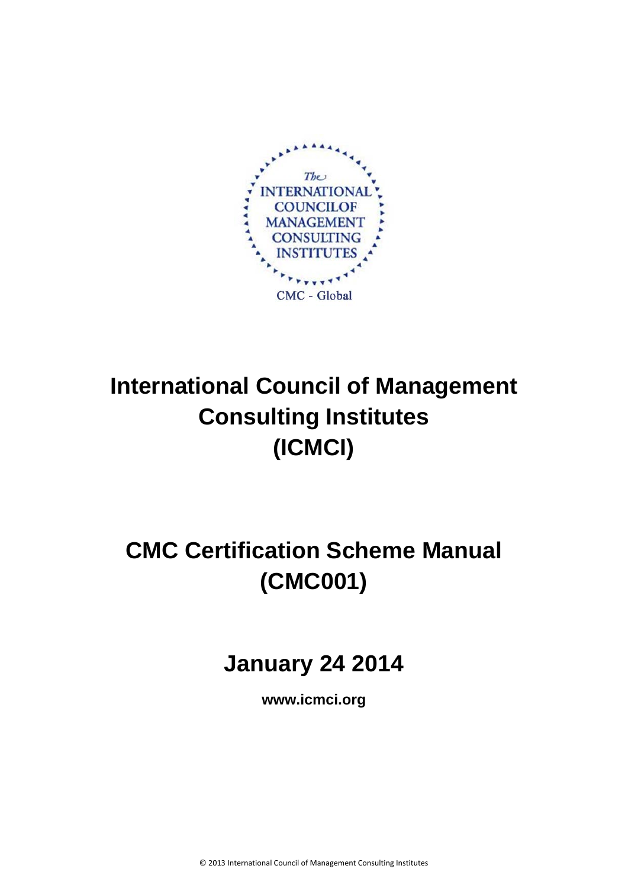

# **International Council of Management Consulting Institutes (ICMCI)**

# **CMC Certification Scheme Manual (CMC001)**

# **January 24 2014**

**www.icmci.org**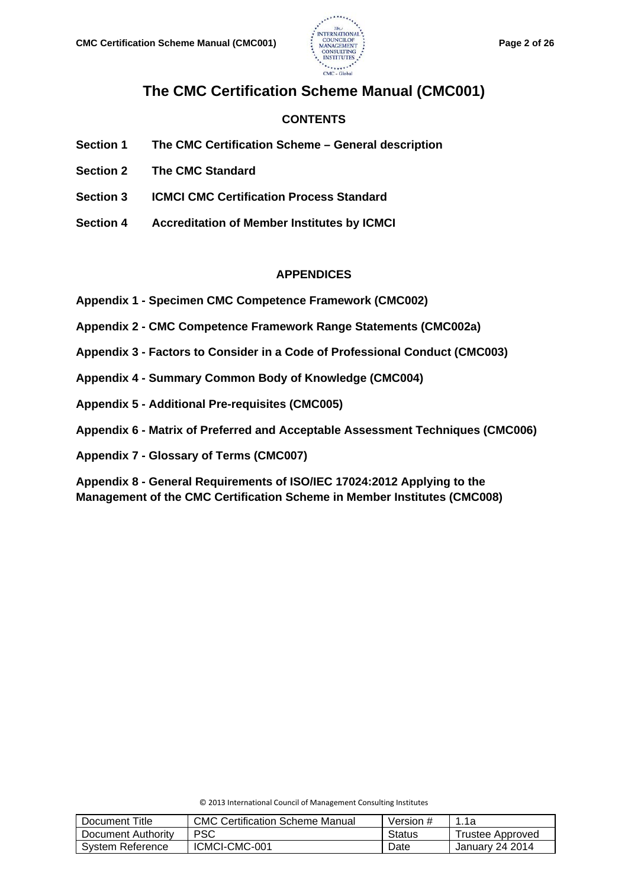

# **The CMC Certification Scheme Manual (CMC001)**

# **CONTENTS**

- **Section 1 The CMC Certification Scheme – General description**
- **Section 2 The CMC Standard**
- **Section 3 ICMCI CMC Certification Process Standard**
- **Section 4 Accreditation of Member Institutes by ICMCI**

### **APPENDICES**

- **Appendix 1 - Specimen CMC Competence Framework (CMC002)**
- **Appendix 2 - CMC Competence Framework Range Statements (CMC002a)**
- **Appendix 3 - Factors to Consider in a Code of Professional Conduct (CMC003)**
- **Appendix 4 - Summary Common Body of Knowledge (CMC004)**
- **Appendix 5 - Additional Pre-requisites (CMC005)**
- **Appendix 6 - Matrix of Preferred and Acceptable Assessment Techniques (CMC006)**

**Appendix 7 - Glossary of Terms (CMC007)**

**Appendix 8 - General Requirements of ISO/IEC 17024:2012 Applying to the Management of the CMC Certification Scheme in Member Institutes (CMC008)**

| © 2013 International Council of Management Consulting Institutes |  |
|------------------------------------------------------------------|--|
|------------------------------------------------------------------|--|

| Document Title     | <b>CMC Certification Scheme Manual</b> | Version # | 1.1a             |
|--------------------|----------------------------------------|-----------|------------------|
| Document Authority | <b>PSC</b>                             | Status    | Trustee Approved |
| System Reference   | ICMCI-CMC-001                          | Date      | January 24 2014  |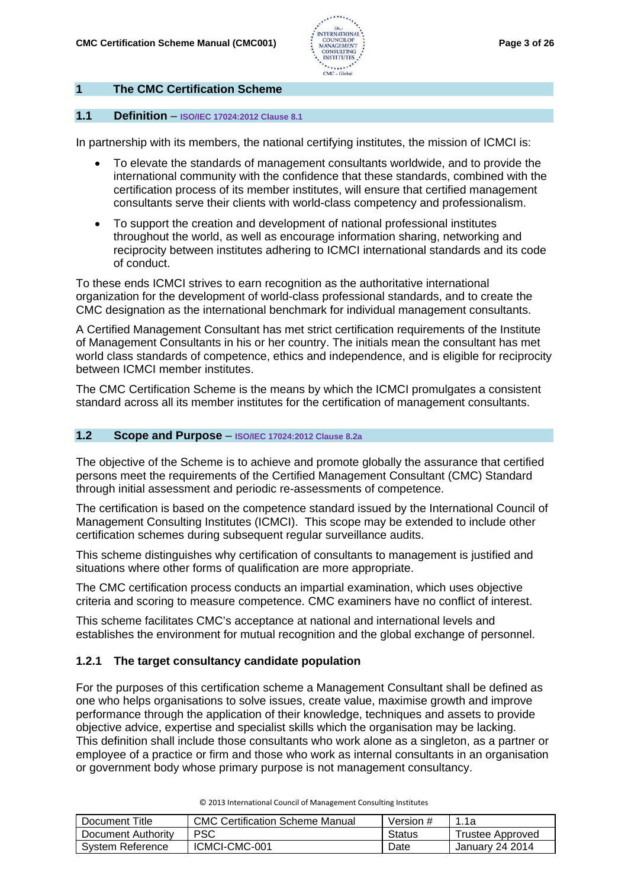

# **1 The CMC Certification Scheme**

#### **1.1 Definition** – **ISO/IEC 17024:2012 Clause 8.1**

In partnership with its members, the national certifying institutes, the mission of ICMCI is:

- To elevate the standards of management consultants worldwide, and to provide the international community with the confidence that these standards, combined with the certification process of its member institutes, will ensure that certified management consultants serve their clients with world-class competency and professionalism.
- To support the creation and development of national professional institutes throughout the world, as well as encourage information sharing, networking and reciprocity between institutes adhering to ICMCI international standards and its code of conduct.

To these ends ICMCI strives to earn recognition as the authoritative international organization for the development of world-class professional standards, and to create the CMC designation as the international benchmark for individual management consultants.

A Certified Management Consultant has met strict certification requirements of the Institute of Management Consultants in his or her country. The initials mean the consultant has met world class standards of competence, ethics and independence, and is eligible for reciprocity between ICMCI member institutes.

The CMC Certification Scheme is the means by which the ICMCI promulgates a consistent standard across all its member institutes for the certification of management consultants.

#### **1.2 Scope and Purpose** – **ISO/IEC 17024:2012 Clause 8.2a**

The objective of the Scheme is to achieve and promote globally the assurance that certified persons meet the requirements of the Certified Management Consultant (CMC) Standard through initial assessment and periodic re-assessments of competence.

The certification is based on the competence standard issued by the International Council of Management Consulting Institutes (ICMCI). This scope may be extended to include other certification schemes during subsequent regular surveillance audits.

This scheme distinguishes why certification of consultants to management is justified and situations where other forms of qualification are more appropriate.

The CMC certification process conducts an impartial examination, which uses objective criteria and scoring to measure competence. CMC examiners have no conflict of interest.

This scheme facilitates CMC's acceptance at national and international levels and establishes the environment for mutual recognition and the global exchange of personnel.

#### **1.2.1 The target consultancy candidate population**

For the purposes of this certification scheme a Management Consultant shall be defined as one who helps organisations to solve issues, create value, maximise growth and improve performance through the application of their knowledge, techniques and assets to provide objective advice, expertise and specialist skills which the organisation may be lacking. This definition shall include those consultants who work alone as a singleton, as a partner or employee of a practice or firm and those who work as internal consultants in an organisation or government body whose primary purpose is not management consultancy.

| Document Title     | CMC Certification Scheme Manual | Version # | 1.1a                   |
|--------------------|---------------------------------|-----------|------------------------|
| Document Authority | PSC                             | Status    | Trustee Approved       |
| System Reference   | ICMCI-CMC-001                   | Date      | <b>January 24 2014</b> |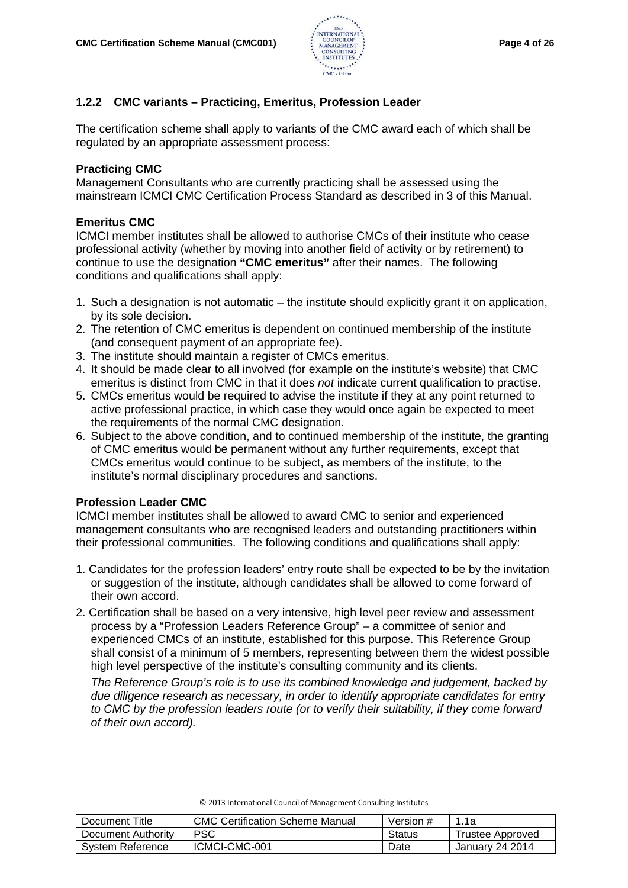

# **1.2.2 CMC variants – Practicing, Emeritus, Profession Leader**

The certification scheme shall apply to variants of the CMC award each of which shall be regulated by an appropriate assessment process:

# **Practicing CMC**

Management Consultants who are currently practicing shall be assessed using the mainstream ICMCI CMC Certification Process Standard as described in 3 of this Manual.

# **Emeritus CMC**

ICMCI member institutes shall be allowed to authorise CMCs of their institute who cease professional activity (whether by moving into another field of activity or by retirement) to continue to use the designation **"CMC emeritus"** after their names. The following conditions and qualifications shall apply:

- 1. Such a designation is not automatic the institute should explicitly grant it on application, by its sole decision.
- 2. The retention of CMC emeritus is dependent on continued membership of the institute (and consequent payment of an appropriate fee).
- 3. The institute should maintain a register of CMCs emeritus.
- 4. It should be made clear to all involved (for example on the institute's website) that CMC emeritus is distinct from CMC in that it does *not* indicate current qualification to practise.
- 5. CMCs emeritus would be required to advise the institute if they at any point returned to active professional practice, in which case they would once again be expected to meet the requirements of the normal CMC designation.
- 6. Subject to the above condition, and to continued membership of the institute, the granting of CMC emeritus would be permanent without any further requirements, except that CMCs emeritus would continue to be subject, as members of the institute, to the institute's normal disciplinary procedures and sanctions.

# **Profession Leader CMC**

ICMCI member institutes shall be allowed to award CMC to senior and experienced management consultants who are recognised leaders and outstanding practitioners within their professional communities. The following conditions and qualifications shall apply:

- 1. Candidates for the profession leaders' entry route shall be expected to be by the invitation or suggestion of the institute, although candidates shall be allowed to come forward of their own accord.
- 2. Certification shall be based on a very intensive, high level peer review and assessment process by a "Profession Leaders Reference Group" – a committee of senior and experienced CMCs of an institute, established for this purpose. This Reference Group shall consist of a minimum of 5 members, representing between them the widest possible high level perspective of the institute's consulting community and its clients.

*The Reference Group's role is to use its combined knowledge and judgement, backed by due diligence research as necessary, in order to identify appropriate candidates for entry to CMC by the profession leaders route (or to verify their suitability, if they come forward of their own accord).*

| Document Title     | <b>CMC Certification Scheme Manual</b> | Version # | 1.1a             |
|--------------------|----------------------------------------|-----------|------------------|
| Document Authority | <b>PSC</b>                             | Status    | Trustee Approved |
| System Reference   | ICMCI-CMC-001                          | Date      | January 24 2014  |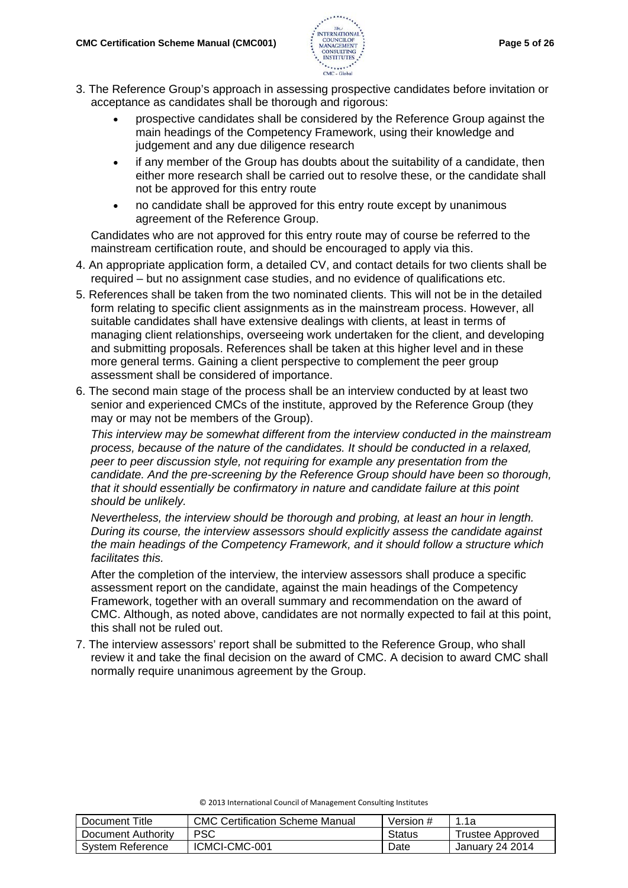

- 3. The Reference Group's approach in assessing prospective candidates before invitation or acceptance as candidates shall be thorough and rigorous:
	- prospective candidates shall be considered by the Reference Group against the main headings of the Competency Framework, using their knowledge and judgement and any due diligence research
	- if any member of the Group has doubts about the suitability of a candidate, then either more research shall be carried out to resolve these, or the candidate shall not be approved for this entry route
	- no candidate shall be approved for this entry route except by unanimous agreement of the Reference Group.

Candidates who are not approved for this entry route may of course be referred to the mainstream certification route, and should be encouraged to apply via this.

- 4. An appropriate application form, a detailed CV, and contact details for two clients shall be required – but no assignment case studies, and no evidence of qualifications etc.
- 5. References shall be taken from the two nominated clients. This will not be in the detailed form relating to specific client assignments as in the mainstream process. However, all suitable candidates shall have extensive dealings with clients, at least in terms of managing client relationships, overseeing work undertaken for the client, and developing and submitting proposals. References shall be taken at this higher level and in these more general terms. Gaining a client perspective to complement the peer group assessment shall be considered of importance.
- 6. The second main stage of the process shall be an interview conducted by at least two senior and experienced CMCs of the institute, approved by the Reference Group (they may or may not be members of the Group).

*This interview may be somewhat different from the interview conducted in the mainstream process, because of the nature of the candidates. It should be conducted in a relaxed, peer to peer discussion style, not requiring for example any presentation from the candidate. And the pre-screening by the Reference Group should have been so thorough, that it should essentially be confirmatory in nature and candidate failure at this point should be unlikely.*

*Nevertheless, the interview should be thorough and probing, at least an hour in length. During its course, the interview assessors should explicitly assess the candidate against the main headings of the Competency Framework, and it should follow a structure which facilitates this.* 

After the completion of the interview, the interview assessors shall produce a specific assessment report on the candidate, against the main headings of the Competency Framework, together with an overall summary and recommendation on the award of CMC. Although, as noted above, candidates are not normally expected to fail at this point, this shall not be ruled out.

7. The interview assessors' report shall be submitted to the Reference Group, who shall review it and take the final decision on the award of CMC. A decision to award CMC shall normally require unanimous agreement by the Group.

| Document Title     | <b>CMC Certification Scheme Manual</b> | Version # | 1.1a             |
|--------------------|----------------------------------------|-----------|------------------|
| Document Authority | PSC                                    | Status    | Trustee Approved |
| System Reference   | ICMCI-CMC-001                          | Date      | January 24 2014  |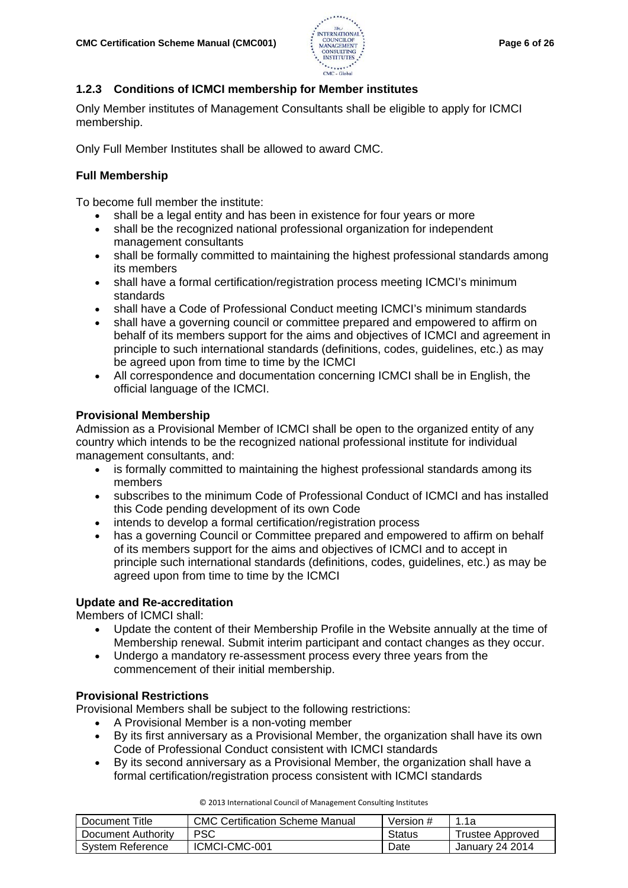

# **1.2.3 Conditions of ICMCI membership for Member institutes**

Only Member institutes of Management Consultants shall be eligible to apply for ICMCI membership.

Only Full Member Institutes shall be allowed to award CMC.

# **Full Membership**

To become full member the institute:

- shall be a legal entity and has been in existence for four years or more
- shall be the recognized national professional organization for independent management consultants
- shall be formally committed to maintaining the highest professional standards among its members
- shall have a formal certification/registration process meeting ICMCI's minimum standards
- shall have a Code of Professional Conduct meeting ICMCI's minimum standards
- shall have a governing council or committee prepared and empowered to affirm on behalf of its members support for the aims and objectives of ICMCI and agreement in principle to such international standards (definitions, codes, guidelines, etc.) as may be agreed upon from time to time by the ICMCI
- All correspondence and documentation concerning ICMCI shall be in English, the official language of the ICMCI.

# **Provisional Membership**

Admission as a Provisional Member of ICMCI shall be open to the organized entity of any country which intends to be the recognized national professional institute for individual management consultants, and:

- is formally committed to maintaining the highest professional standards among its members
- subscribes to the minimum Code of Professional Conduct of ICMCI and has installed this Code pending development of its own Code
- intends to develop a formal certification/registration process
- has a governing Council or Committee prepared and empowered to affirm on behalf of its members support for the aims and objectives of ICMCI and to accept in principle such international standards (definitions, codes, guidelines, etc.) as may be agreed upon from time to time by the ICMCI

# **Update and Re-accreditation**

Members of ICMCI shall:

- Update the content of their Membership Profile in the Website annually at the time of Membership renewal. Submit interim participant and contact changes as they occur.
- Undergo a mandatory re-assessment process every three years from the commencement of their initial membership.

# **Provisional Restrictions**

Provisional Members shall be subject to the following restrictions:

- A Provisional Member is a non-voting member
- By its first anniversary as a Provisional Member, the organization shall have its own Code of Professional Conduct consistent with ICMCI standards
- By its second anniversary as a Provisional Member, the organization shall have a formal certification/registration process consistent with ICMCI standards

| Document Title     | <b>CMC Certification Scheme Manual</b> | Version # | 1.1a             |
|--------------------|----------------------------------------|-----------|------------------|
| Document Authority | <b>PSC</b>                             | Status    | Trustee Approved |
| System Reference   | ICMCI-CMC-001                          | Date      | January 24 2014  |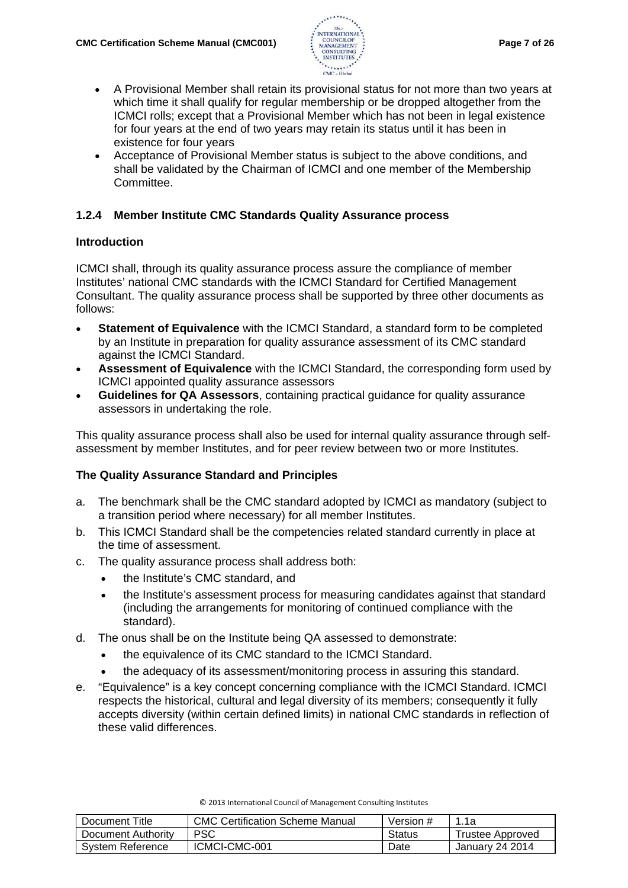

- A Provisional Member shall retain its provisional status for not more than two years at which time it shall qualify for regular membership or be dropped altogether from the ICMCI rolls; except that a Provisional Member which has not been in legal existence for four years at the end of two years may retain its status until it has been in existence for four years
- Acceptance of Provisional Member status is subject to the above conditions, and shall be validated by the Chairman of ICMCI and one member of the Membership Committee.

# **1.2.4 Member Institute CMC Standards Quality Assurance process**

# **Introduction**

ICMCI shall, through its quality assurance process assure the compliance of member Institutes' national CMC standards with the ICMCI Standard for Certified Management Consultant. The quality assurance process shall be supported by three other documents as follows:

- **Statement of Equivalence** with the ICMCI Standard, a standard form to be completed by an Institute in preparation for quality assurance assessment of its CMC standard against the ICMCI Standard.
- **[Assessment of Equivalence](http://www.icmci.org/download/?id=14844923)** with the ICMCI Standard, the corresponding form used by ICMCI appointed quality assurance assessors
- **[Guidelines for QA Assessors](http://www.icmci.org/?page=9443328)**, containing practical guidance for quality assurance assessors in undertaking the role.

This quality assurance process shall also be used for internal quality assurance through selfassessment by member Institutes, and for peer review between two or more Institutes.

# **The Quality Assurance Standard and Principles**

- a. The benchmark shall be the CMC standard adopted by ICMCI as mandatory (subject to a transition period where necessary) for all member Institutes.
- b. This ICMCI Standard shall be the competencies related standard currently in place at the time of assessment.
- c. The quality assurance process shall address both:
	- the Institute's CMC standard, and
	- the Institute's assessment process for measuring candidates against that standard (including the arrangements for monitoring of continued compliance with the standard).
- d. The onus shall be on the Institute being QA assessed to demonstrate:
	- the equivalence of its CMC standard to the ICMCI Standard.
	- the adequacy of its assessment/monitoring process in assuring this standard.
- e. "Equivalence" is a key concept concerning compliance with the ICMCI Standard. ICMCI respects the historical, cultural and legal diversity of its members; consequently it fully accepts diversity (within certain defined limits) in national CMC standards in reflection of these valid differences.

| Document Title     | <b>CMC Certification Scheme Manual</b> | Version # | 1.1a             |
|--------------------|----------------------------------------|-----------|------------------|
| Document Authority | PSC                                    | Status    | Trustee Approved |
| System Reference   | ICMCI-CMC-001                          | Date      | January 24 2014  |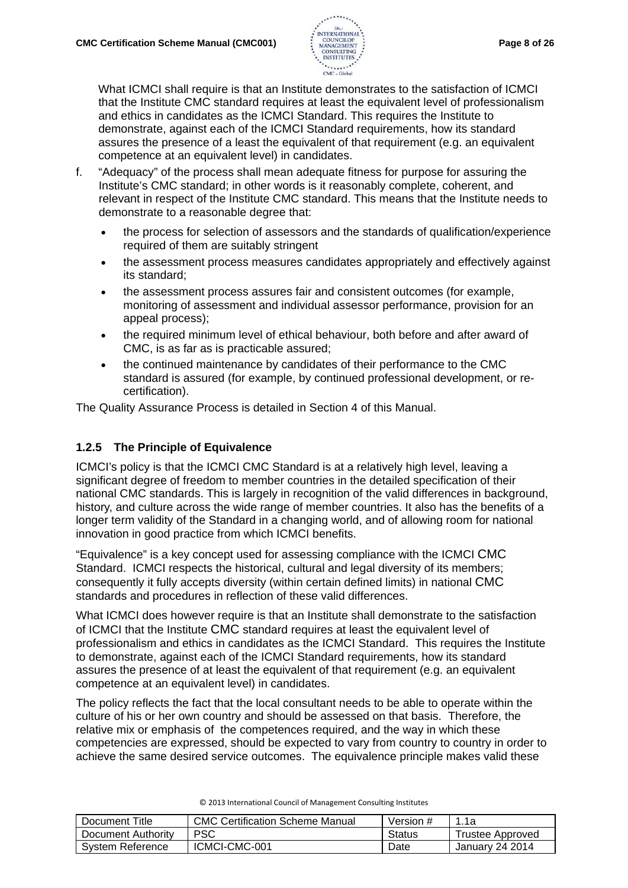

What ICMCI shall require is that an Institute demonstrates to the satisfaction of ICMCI that the Institute CMC standard requires at least the equivalent level of professionalism and ethics in candidates as the ICMCI Standard. This requires the Institute to demonstrate, against each of the ICMCI Standard requirements, how its standard assures the presence of a least the equivalent of that requirement (e.g. an equivalent competence at an equivalent level) in candidates.

- f. "Adequacy" of the process shall mean adequate fitness for purpose for assuring the Institute's CMC standard; in other words is it reasonably complete, coherent, and relevant in respect of the Institute CMC standard. This means that the Institute needs to demonstrate to a reasonable degree that:
	- the process for selection of assessors and the standards of qualification/experience required of them are suitably stringent
	- the assessment process measures candidates appropriately and effectively against its standard;
	- the assessment process assures fair and consistent outcomes (for example, monitoring of assessment and individual assessor performance, provision for an appeal process);
	- the required minimum level of ethical behaviour, both before and after award of CMC, is as far as is practicable assured;
	- the continued maintenance by candidates of their performance to the CMC standard is assured (for example, by continued professional development, or recertification).

The Quality Assurance Process is detailed in Section 4 of this Manual.

# **1.2.5 The Principle of Equivalence**

ICMCI's policy is that the ICMCI CMC Standard is at a relatively high level, leaving a significant degree of freedom to member countries in the detailed specification of their national CMC standards. This is largely in recognition of the valid differences in background, history, and culture across the wide range of member countries. It also has the benefits of a longer term validity of the Standard in a changing world, and of allowing room for national innovation in good practice from which ICMCI benefits.

"Equivalence" is a key concept used for assessing compliance with the ICMCI CMC Standard. ICMCI respects the historical, cultural and legal diversity of its members; consequently it fully accepts diversity (within certain defined limits) in national CMC standards and procedures in reflection of these valid differences.

What ICMCI does however require is that an Institute shall demonstrate to the satisfaction of ICMCI that the Institute CMC standard requires at least the equivalent level of professionalism and ethics in candidates as the ICMCI Standard. This requires the Institute to demonstrate, against each of the ICMCI Standard requirements, how its standard assures the presence of at least the equivalent of that requirement (e.g. an equivalent competence at an equivalent level) in candidates.

The policy reflects the fact that the local consultant needs to be able to operate within the culture of his or her own country and should be assessed on that basis. Therefore, the relative mix or emphasis of the competences required, and the way in which these competencies are expressed, should be expected to vary from country to country in order to achieve the same desired service outcomes. The equivalence principle makes valid these

| Document Title     | <b>CMC Certification Scheme Manual</b> | Version # | 1.1a                   |
|--------------------|----------------------------------------|-----------|------------------------|
| Document Authority | PSC                                    | Status    | Trustee Approved       |
| System Reference   | ICMCI-CMC-001                          | Date      | <b>January 24 2014</b> |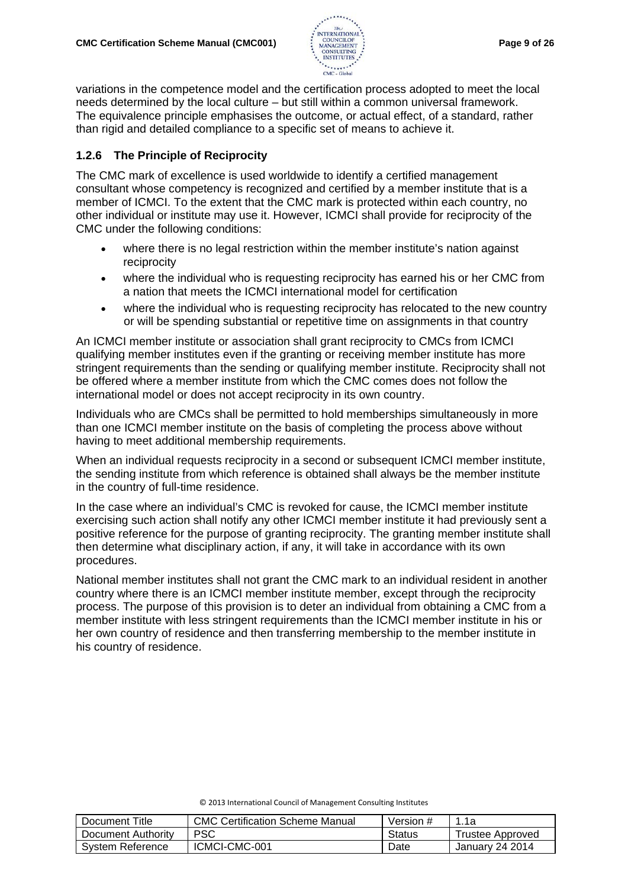

variations in the competence model and the certification process adopted to meet the local needs determined by the local culture – but still within a common universal framework. The equivalence principle emphasises the outcome, or actual effect, of a standard, rather than rigid and detailed compliance to a specific set of means to achieve it.

# **1.2.6 The Principle of Reciprocity**

The CMC mark of excellence is used worldwide to identify a certified management consultant whose competency is recognized and certified by a member institute that is a member of ICMCI. To the extent that the CMC mark is protected within each country, no other individual or institute may use it. However, ICMCI shall provide for reciprocity of the CMC under the following conditions:

- where there is no legal restriction within the member institute's nation against reciprocity
- where the individual who is requesting reciprocity has earned his or her CMC from a nation that meets the ICMCI international model for certification
- where the individual who is requesting reciprocity has relocated to the new country or will be spending substantial or repetitive time on assignments in that country

An ICMCI member institute or association shall grant reciprocity to CMCs from ICMCI qualifying member institutes even if the granting or receiving member institute has more stringent requirements than the sending or qualifying member institute. Reciprocity shall not be offered where a member institute from which the CMC comes does not follow the international model or does not accept reciprocity in its own country.

Individuals who are CMCs shall be permitted to hold memberships simultaneously in more than one ICMCI member institute on the basis of completing the process above without having to meet additional membership requirements.

When an individual requests reciprocity in a second or subsequent ICMCI member institute, the sending institute from which reference is obtained shall always be the member institute in the country of full-time residence.

In the case where an individual's CMC is revoked for cause, the ICMCI member institute exercising such action shall notify any other ICMCI member institute it had previously sent a positive reference for the purpose of granting reciprocity. The granting member institute shall then determine what disciplinary action, if any, it will take in accordance with its own procedures.

National member institutes shall not grant the CMC mark to an individual resident in another country where there is an ICMCI member institute member, except through the reciprocity process. The purpose of this provision is to deter an individual from obtaining a CMC from a member institute with less stringent requirements than the ICMCI member institute in his or her own country of residence and then transferring membership to the member institute in his country of residence.

| Document Title     | CMC Certification Scheme Manual | Version #     | 1.1a             |
|--------------------|---------------------------------|---------------|------------------|
| Document Authority | <b>PSC</b>                      | <b>Status</b> | Trustee Approved |
| System Reference   | ICMCI-CMC-001                   | Date          | January 24 2014  |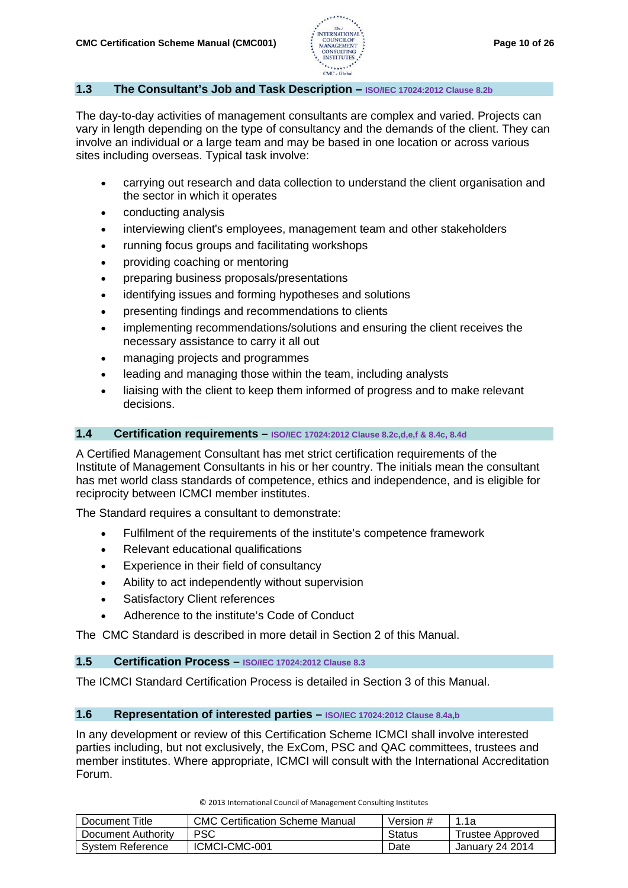

### **1.3 The Consultant's Job and Task Description – ISO/IEC 17024:2012 Clause 8.2b**

The day-to-day activities of management consultants are complex and varied. Projects can vary in length depending on the type of consultancy and the demands of the client. They can involve an individual or a large team and may be based in one location or across various sites including overseas. Typical task involve:

- carrying out research and data collection to understand the client organisation and the sector in which it operates
- conducting analysis
- interviewing client's employees, management team and other stakeholders
- running focus groups and facilitating workshops
- providing coaching or mentoring
- preparing business proposals/presentations
- identifying issues and forming hypotheses and solutions
- presenting findings and recommendations to clients
- implementing recommendations/solutions and ensuring the client receives the necessary assistance to carry it all out
- managing projects and programmes
- leading and managing those within the team, including analysts
- liaising with the client to keep them informed of progress and to make relevant decisions.

# **1.4 Certification requirements – ISO/IEC 17024:2012 Clause 8.2c,d,e,f & 8.4c, 8.4d**

A Certified Management Consultant has met strict certification requirements of the Institute of Management Consultants in his or her country. The initials mean the consultant has met world class standards of competence, ethics and independence, and is eligible for reciprocity between ICMCI member institutes.

The Standard requires a consultant to demonstrate:

- Fulfilment of the requirements of the institute's competence framework
- Relevant educational qualifications
- Experience in their field of consultancy
- Ability to act independently without supervision
- Satisfactory Client references
- Adherence to the institute's Code of Conduct

The CMC Standard is described in more detail in Section 2 of this Manual.

#### **1.5 Certification Process – ISO/IEC 17024:2012 Clause 8.3**

The ICMCI Standard Certification Process is detailed in Section 3 of this Manual.

# **1.6 Representation of interested parties – ISO/IEC 17024:2012 Clause 8.4a,b**

In any development or review of this Certification Scheme ICMCI shall involve interested parties including, but not exclusively, the ExCom, PSC and QAC committees, trustees and member institutes. Where appropriate, ICMCI will consult with the International Accreditation Forum.

| Document Title     | <b>CMC Certification Scheme Manual</b> | Version # | ี่ 1.1a          |
|--------------------|----------------------------------------|-----------|------------------|
| Document Authority | PSC                                    | Status    | Trustee Approved |
| System Reference   | ICMCI-CMC-001                          | Date      | January 24 2014  |

| © 2013 International Council of Management Consulting Institutes |  |
|------------------------------------------------------------------|--|
|------------------------------------------------------------------|--|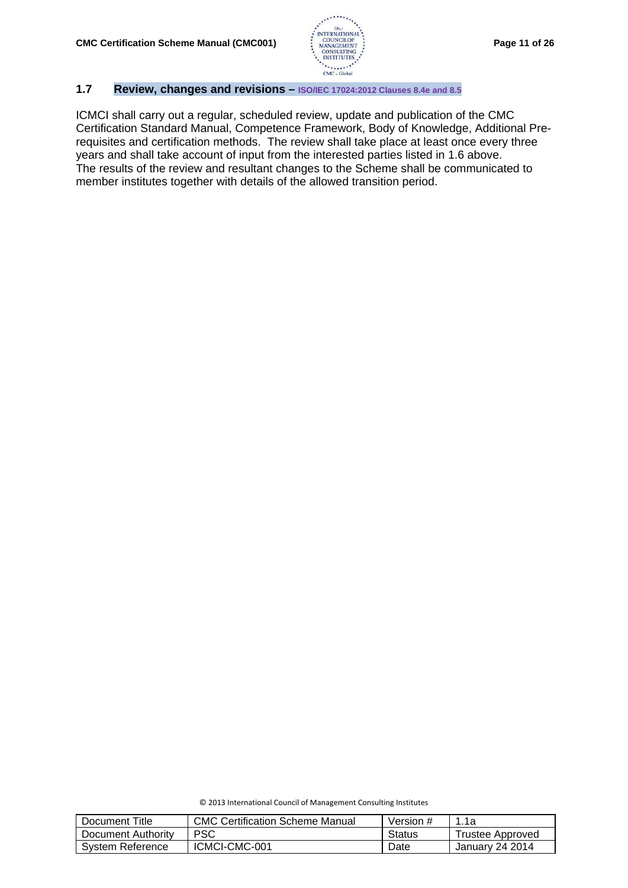

# **1.7 Review, changes and revisions – ISO/IEC 17024:2012 Clauses 8.4e and 8.5**

ICMCI shall carry out a regular, scheduled review, update and publication of the CMC Certification Standard Manual, Competence Framework, Body of Knowledge, Additional Prerequisites and certification methods. The review shall take place at least once every three years and shall take account of input from the interested parties listed in 1.6 above. The results of the review and resultant changes to the Scheme shall be communicated to member institutes together with details of the allowed transition period.

| © 2013 International Council of Management Consulting Institutes |  |
|------------------------------------------------------------------|--|
|------------------------------------------------------------------|--|

| Document Title     | <b>CMC Certification Scheme Manual</b> | Version # | 1.1a             |
|--------------------|----------------------------------------|-----------|------------------|
| Document Authority | <b>PSC</b>                             | Status    | Trustee Approved |
| System Reference   | ICMCI-CMC-001                          | Date      | January 24 2014  |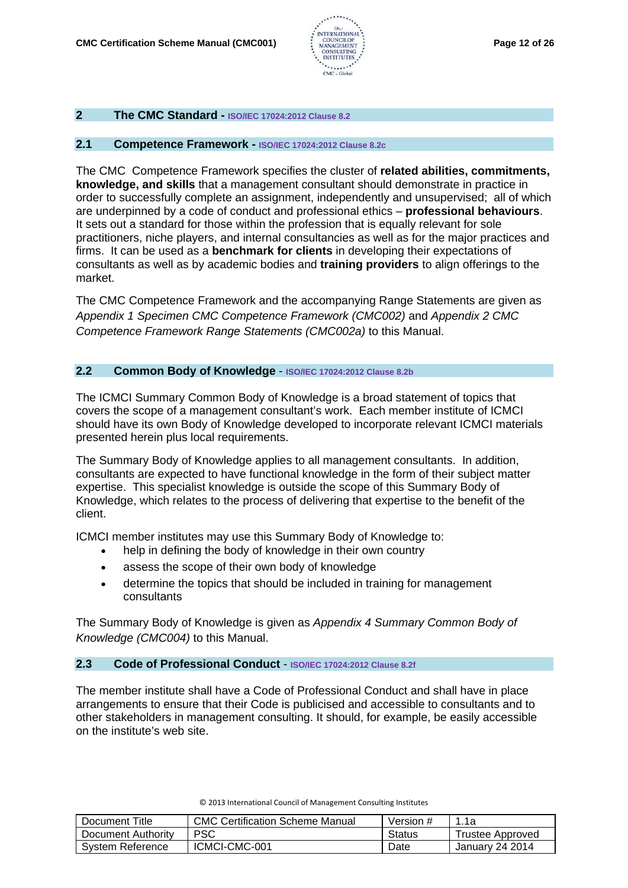

# **2 The CMC Standard - ISO/IEC 17024:2012 Clause 8.2**

#### **2.1 Competence Framework - ISO/IEC 17024:2012 Clause 8.2c**

The CMC Competence Framework specifies the [cluster](http://www.businessdictionary.com/definition/cluster.html) of **related [abilities,](http://www.businessdictionary.com/definition/ability.html) [commitments,](http://www.businessdictionary.com/definition/commitment.html) [knowledge,](http://www.businessdictionary.com/definition/knowledge.html) and [skills](http://www.businessdictionary.com/definition/skill.html)** that a management consultant should demonstrate in practice in order to successfully complete an assignment, independently and unsupervised; all of which are underpinned by a code of conduct and professional ethics – **professional behaviours**. It sets out a standard for those within the profession that is equally relevant for sole practitioners, niche players, and internal consultancies as well as for the major practices and firms. It can be used as a **benchmark for clients** in developing their expectations of consultants as well as by academic bodies and **training providers** to align offerings to the market.

The CMC Competence Framework and the accompanying Range Statements are given as *Appendix 1 Specimen CMC Competence Framework (CMC002)* and *Appendix 2 CMC Competence Framework Range Statements (CMC002a)* to this Manual.

### **2.2 Common Body of Knowledge** - **ISO/IEC 17024:2012 Clause 8.2b**

The ICMCI Summary Common Body of Knowledge is a broad statement of topics that covers the scope of a management consultant's work. Each member institute of ICMCI should have its own Body of Knowledge developed to incorporate relevant ICMCI materials presented herein plus local requirements.

The Summary Body of Knowledge applies to all management consultants. In addition, consultants are expected to have functional knowledge in the form of their subject matter expertise. This specialist knowledge is outside the scope of this Summary Body of Knowledge, which relates to the process of delivering that expertise to the benefit of the client.

ICMCI member institutes may use this Summary Body of Knowledge to:

- help in defining the body of knowledge in their own country
- assess the scope of their own body of knowledge
- determine the topics that should be included in training for management consultants

The Summary Body of Knowledge is given as *Appendix 4 Summary Common Body of Knowledge (CMC004)* to this Manual.

#### **2.3 Code of Professional Conduct** - **ISO/IEC 17024:2012 Clause 8.2f**

The member institute shall have a Code of Professional Conduct and shall have in place arrangements to ensure that their Code is publicised and accessible to consultants and to other stakeholders in management consulting. It should, for example, be easily accessible on the institute's web site.

| Document Title     | <b>CMC Certification Scheme Manual</b> | Version # | 1.1a             |
|--------------------|----------------------------------------|-----------|------------------|
| Document Authority | PSC                                    | Status    | Trustee Approved |
| System Reference   | ICMCI-CMC-001                          | Date      | January 24 2014  |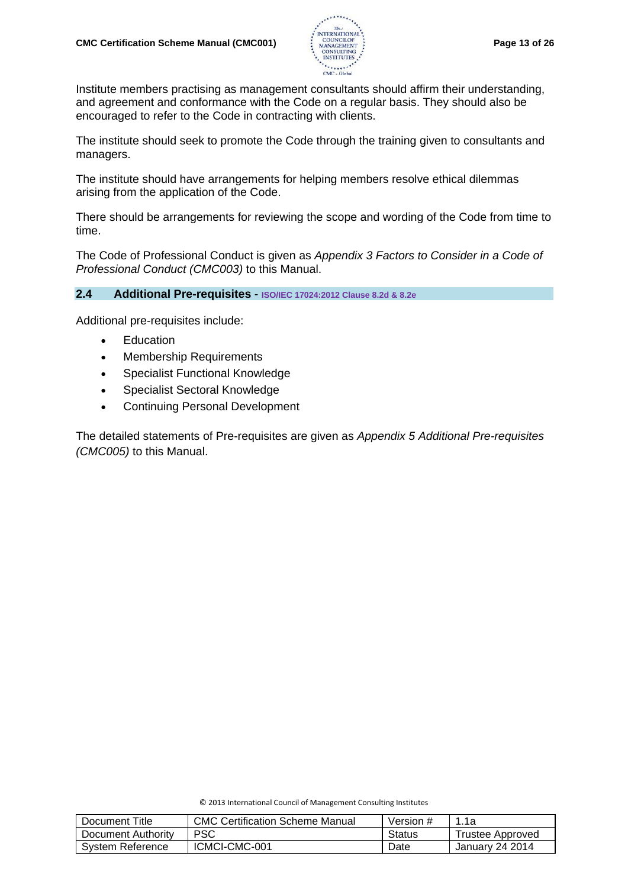

Institute members practising as management consultants should affirm their understanding, and agreement and conformance with the Code on a regular basis. They should also be encouraged to refer to the Code in contracting with clients.

The institute should seek to promote the Code through the training given to consultants and managers.

The institute should have arrangements for helping members resolve ethical dilemmas arising from the application of the Code.

There should be arrangements for reviewing the scope and wording of the Code from time to time.

The Code of Professional Conduct is given as *Appendix 3 Factors to Consider in a Code of Professional Conduct (CMC003)* to this Manual.

# **2.4 Additional Pre-requisites** - **ISO/IEC 17024:2012 Clause 8.2d & 8.2e**

Additional pre-requisites include:

- **Education**
- Membership Requirements
- Specialist Functional Knowledge
- Specialist Sectoral Knowledge
- Continuing Personal Development

The detailed statements of Pre-requisites are given as *Appendix 5 Additional Pre-requisites (CMC005)* to this Manual.

| Document Title     | <b>CMC Certification Scheme Manual</b> | Version # | 1.1a                   |
|--------------------|----------------------------------------|-----------|------------------------|
| Document Authority | PSC                                    | Status    | Trustee Approved       |
| System Reference   | ICMCI-CMC-001                          | Date      | <b>January 24 2014</b> |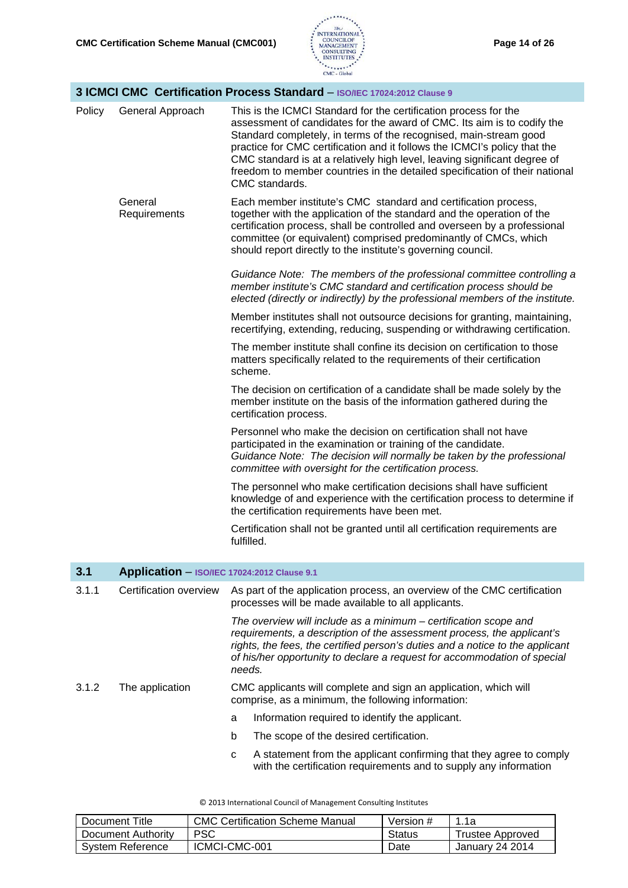

|        | 3 ICMCI CMC Certification Process Standard - ISO/IEC 17024:2012 Clause 9 |                                                                                                                                                                                                                                                                                                                                                                                                                                                                             |  |  |
|--------|--------------------------------------------------------------------------|-----------------------------------------------------------------------------------------------------------------------------------------------------------------------------------------------------------------------------------------------------------------------------------------------------------------------------------------------------------------------------------------------------------------------------------------------------------------------------|--|--|
| Policy | General Approach                                                         | This is the ICMCI Standard for the certification process for the<br>assessment of candidates for the award of CMC. Its aim is to codify the<br>Standard completely, in terms of the recognised, main-stream good<br>practice for CMC certification and it follows the ICMCI's policy that the<br>CMC standard is at a relatively high level, leaving significant degree of<br>freedom to member countries in the detailed specification of their national<br>CMC standards. |  |  |
|        | General<br>Requirements                                                  | Each member institute's CMC standard and certification process,<br>together with the application of the standard and the operation of the<br>certification process, shall be controlled and overseen by a professional<br>committee (or equivalent) comprised predominantly of CMCs, which<br>should report directly to the institute's governing council.                                                                                                                  |  |  |
|        |                                                                          | Guidance Note: The members of the professional committee controlling a<br>member institute's CMC standard and certification process should be<br>elected (directly or indirectly) by the professional members of the institute.                                                                                                                                                                                                                                             |  |  |
|        |                                                                          | Member institutes shall not outsource decisions for granting, maintaining,<br>recertifying, extending, reducing, suspending or withdrawing certification.                                                                                                                                                                                                                                                                                                                   |  |  |
|        |                                                                          | The member institute shall confine its decision on certification to those<br>matters specifically related to the requirements of their certification<br>scheme.                                                                                                                                                                                                                                                                                                             |  |  |
|        |                                                                          | The decision on certification of a candidate shall be made solely by the<br>member institute on the basis of the information gathered during the<br>certification process.                                                                                                                                                                                                                                                                                                  |  |  |
|        |                                                                          | Personnel who make the decision on certification shall not have<br>participated in the examination or training of the candidate.<br>Guidance Note: The decision will normally be taken by the professional<br>committee with oversight for the certification process.                                                                                                                                                                                                       |  |  |
|        |                                                                          | The personnel who make certification decisions shall have sufficient<br>knowledge of and experience with the certification process to determine if<br>the certification requirements have been met.                                                                                                                                                                                                                                                                         |  |  |
|        |                                                                          | Certification shall not be granted until all certification requirements are<br>fulfilled.                                                                                                                                                                                                                                                                                                                                                                                   |  |  |
| 3.1    | Application - ISO/IEC 17024:2012 Clause 9.1                              |                                                                                                                                                                                                                                                                                                                                                                                                                                                                             |  |  |
| 3.1.1  | Certification overview                                                   | As part of the application process, an overview of the CMC certification<br>processes will be made available to all applicants.                                                                                                                                                                                                                                                                                                                                             |  |  |
|        |                                                                          | The overview will include as a minimum – certification scope and<br>requirements, a description of the assessment process, the applicant's<br>rights, the fees, the certified person's duties and a notice to the applicant<br>of his/her opportunity to declare a request for accommodation of special<br>needs.                                                                                                                                                           |  |  |
| 3.1.2  | The application                                                          | CMC applicants will complete and sign an application, which will<br>comprise, as a minimum, the following information:                                                                                                                                                                                                                                                                                                                                                      |  |  |
|        |                                                                          | Information required to identify the applicant.<br>a                                                                                                                                                                                                                                                                                                                                                                                                                        |  |  |
|        |                                                                          | b<br>The scope of the desired certification.                                                                                                                                                                                                                                                                                                                                                                                                                                |  |  |
|        |                                                                          | A statement from the applicant confirming that they agree to comply<br>с                                                                                                                                                                                                                                                                                                                                                                                                    |  |  |

with the certification requirements and to supply any information

| Document Title     | <b>CMC Certification Scheme Manual</b> | Version # | 1.1a                   |
|--------------------|----------------------------------------|-----------|------------------------|
| Document Authority | <b>PSC</b>                             | Status    | Trustee Approved       |
| System Reference   | ICMCI-CMC-001                          | Date      | <b>January 24 2014</b> |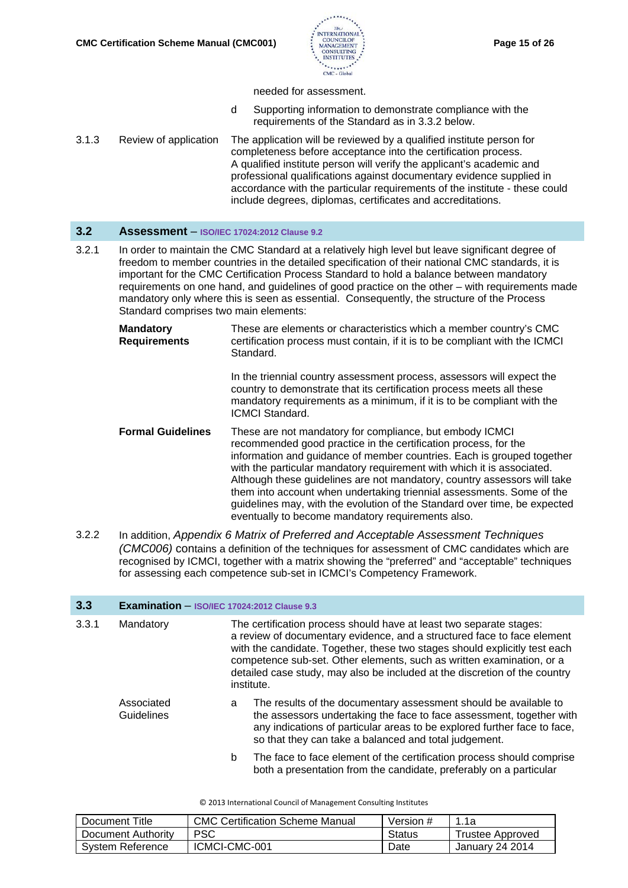

#### needed for assessment.

- d Supporting information to demonstrate compliance with the requirements of the Standard as in 3.3.2 below.
- 3.1.3 Review of application The application will be reviewed by a qualified institute person for completeness before acceptance into the certification process. A qualified institute person will verify the applicant's academic and professional qualifications against documentary evidence supplied in accordance with the particular requirements of the institute - these could include degrees, diplomas, certificates and accreditations.

### **3.2 Assessment** – **ISO/IEC 17024:2012 Clause 9.2**

- 3.2.1 In order to maintain the CMC Standard at a relatively high level but leave significant degree of freedom to member countries in the detailed specification of their national CMC standards, it is important for the CMC Certification Process Standard to hold a balance between mandatory requirements on one hand, and guidelines of good practice on the other – with requirements made mandatory only where this is seen as essential. Consequently, the structure of the Process Standard comprises two main elements:
	- **Mandatory Requirements** These are elements or characteristics which a member country's CMC certification process must contain, if it is to be compliant with the ICMCI Standard. In the triennial country assessment process, assessors will expect the country to demonstrate that its certification process meets all these mandatory requirements as a minimum, if it is to be compliant with the ICMCI Standard. **Formal Guidelines** These are not mandatory for compliance, but embody ICMCI recommended good practice in the certification process, for the information and guidance of member countries. Each is grouped together with the particular mandatory requirement with which it is associated. Although these guidelines are not mandatory, country assessors will take them into account when undertaking triennial assessments. Some of the guidelines may, with the evolution of the Standard over time, be expected eventually to become mandatory requirements also.
- 3.2.2 In addition, *Appendix 6 Matrix of Preferred and Acceptable Assessment Techniques (CMC006)* contains a definition of the techniques for assessment of CMC candidates which are recognised by ICMCI, together with a matrix showing the "preferred" and "acceptable" techniques for assessing each competence sub-set in ICMCI's Competency Framework.

| 3.3   | <b>Examination</b> $-$ ISO/IEC 17024:2012 Clause 9.3 |   |                                                                                                                                                                                                                                                                                                                                                                                                   |
|-------|------------------------------------------------------|---|---------------------------------------------------------------------------------------------------------------------------------------------------------------------------------------------------------------------------------------------------------------------------------------------------------------------------------------------------------------------------------------------------|
| 3.3.1 | Mandatory                                            |   | The certification process should have at least two separate stages:<br>a review of documentary evidence, and a structured face to face element<br>with the candidate. Together, these two stages should explicitly test each<br>competence sub-set. Other elements, such as written examination, or a<br>detailed case study, may also be included at the discretion of the country<br>institute. |
|       | Associated<br>Guidelines                             | a | The results of the documentary assessment should be available to<br>the assessors undertaking the face to face assessment, together with<br>any indications of particular areas to be explored further face to face,<br>so that they can take a balanced and total judgement.                                                                                                                     |
|       |                                                      | b | The face to face element of the certification process should comprise<br>both a presentation from the candidate, preferably on a particular                                                                                                                                                                                                                                                       |

| Document Title     | <b>CMC Certification Scheme Manual</b> | Version # | _1.1a            |
|--------------------|----------------------------------------|-----------|------------------|
| Document Authority | PSC.                                   | Status    | Trustee Approved |
| System Reference   | ICMCI-CMC-001                          | Date      | January 24 2014  |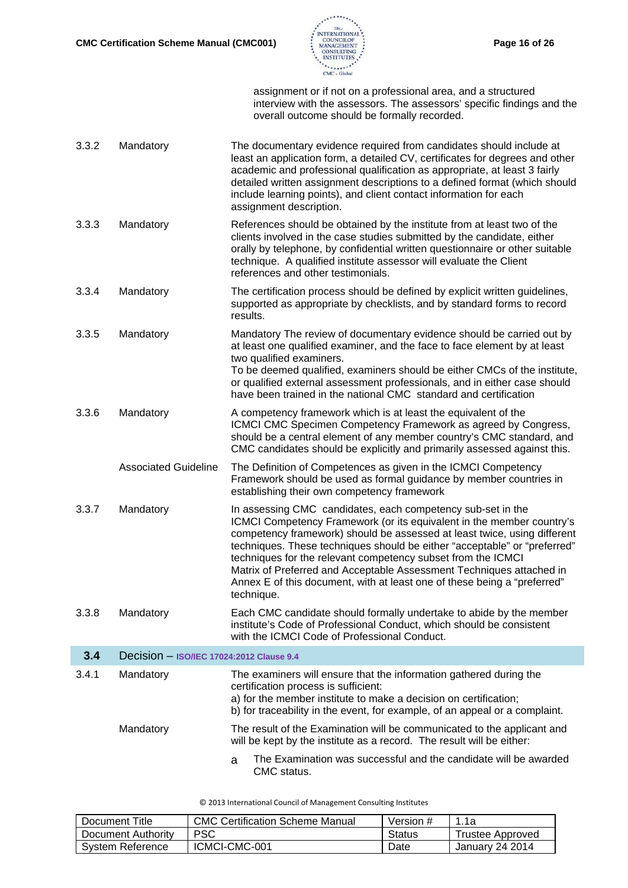

assignment or if not on a professional area, and a structured interview with the assessors. The assessors' specific findings and the overall outcome should be formally recorded.

| 3.3.2 | Mandatory                                | The documentary evidence required from candidates should include at<br>least an application form, a detailed CV, certificates for degrees and other<br>academic and professional qualification as appropriate, at least 3 fairly<br>detailed written assignment descriptions to a defined format (which should<br>include learning points), and client contact information for each<br>assignment description.                                                                                                                  |
|-------|------------------------------------------|---------------------------------------------------------------------------------------------------------------------------------------------------------------------------------------------------------------------------------------------------------------------------------------------------------------------------------------------------------------------------------------------------------------------------------------------------------------------------------------------------------------------------------|
| 3.3.3 | Mandatory                                | References should be obtained by the institute from at least two of the<br>clients involved in the case studies submitted by the candidate, either<br>orally by telephone, by confidential written questionnaire or other suitable<br>technique. A qualified institute assessor will evaluate the Client<br>references and other testimonials.                                                                                                                                                                                  |
| 3.3.4 | Mandatory                                | The certification process should be defined by explicit written guidelines,<br>supported as appropriate by checklists, and by standard forms to record<br>results.                                                                                                                                                                                                                                                                                                                                                              |
| 3.3.5 | Mandatory                                | Mandatory The review of documentary evidence should be carried out by<br>at least one qualified examiner, and the face to face element by at least<br>two qualified examiners.<br>To be deemed qualified, examiners should be either CMCs of the institute,<br>or qualified external assessment professionals, and in either case should<br>have been trained in the national CMC standard and certification                                                                                                                    |
| 3.3.6 | Mandatory                                | A competency framework which is at least the equivalent of the<br>ICMCI CMC Specimen Competency Framework as agreed by Congress,<br>should be a central element of any member country's CMC standard, and<br>CMC candidates should be explicitly and primarily assessed against this.                                                                                                                                                                                                                                           |
|       | <b>Associated Guideline</b>              | The Definition of Competences as given in the ICMCI Competency<br>Framework should be used as formal guidance by member countries in<br>establishing their own competency framework                                                                                                                                                                                                                                                                                                                                             |
| 3.3.7 | Mandatory                                | In assessing CMC candidates, each competency sub-set in the<br>ICMCI Competency Framework (or its equivalent in the member country's<br>competency framework) should be assessed at least twice, using different<br>techniques. These techniques should be either "acceptable" or "preferred"<br>techniques for the relevant competency subset from the ICMCI<br>Matrix of Preferred and Acceptable Assessment Techniques attached in<br>Annex E of this document, with at least one of these being a "preferred"<br>technique. |
| 3.3.8 | Mandatory                                | Each CMC candidate should formally undertake to abide by the member<br>institute's Code of Professional Conduct, which should be consistent<br>with the ICMCI Code of Professional Conduct.                                                                                                                                                                                                                                                                                                                                     |
| 3.4   | Decision - ISO/IEC 17024:2012 Clause 9.4 |                                                                                                                                                                                                                                                                                                                                                                                                                                                                                                                                 |
| 3.4.1 | Mandatory                                | The examiners will ensure that the information gathered during the<br>certification process is sufficient:<br>a) for the member institute to make a decision on certification;<br>b) for traceability in the event, for example, of an appeal or a complaint.                                                                                                                                                                                                                                                                   |
|       | Mandatory                                | The result of the Examination will be communicated to the applicant and<br>will be kept by the institute as a record. The result will be either:                                                                                                                                                                                                                                                                                                                                                                                |
|       |                                          | The Examination was successful and the candidate will be awarded<br>a<br>CMC status.                                                                                                                                                                                                                                                                                                                                                                                                                                            |

| Document Title     | <b>CMC Certification Scheme Manual</b> | Version # | 1.1a             |
|--------------------|----------------------------------------|-----------|------------------|
| Document Authority | <b>PSC</b>                             | Status    | Trustee Approved |
| System Reference   | ICMCI-CMC-001                          | Date      | January 24 2014  |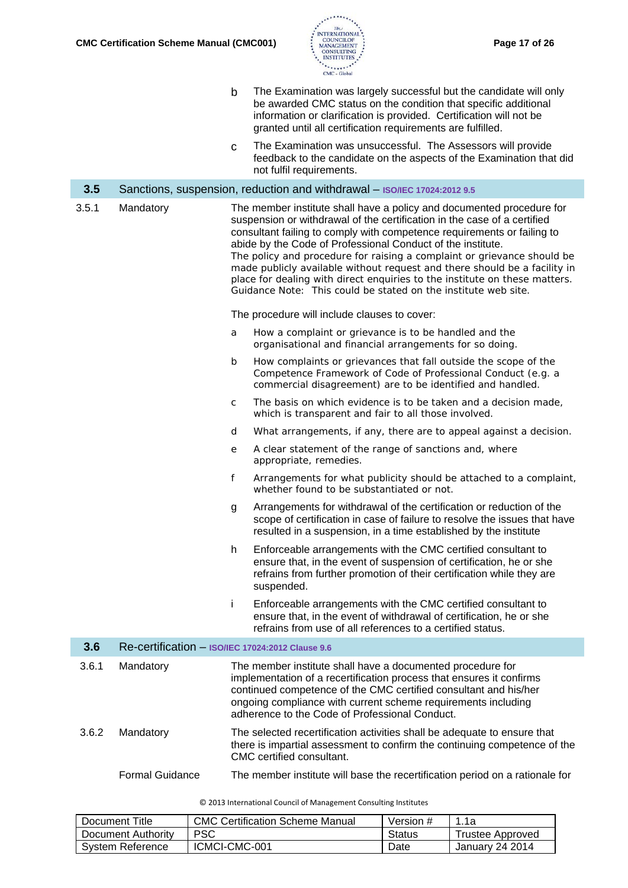

- b The Examination was largely successful but the candidate will only be awarded CMC status on the condition that specific additional information or clarification is provided. Certification will not be granted until all certification requirements are fulfilled.
- c The Examination was unsuccessful. The Assessors will provide feedback to the candidate on the aspects of the Examination that did not fulfil requirements.

| 3.5   |           | Sanctions, suspension, reduction and withdrawal - ISO/IEC 17024:2012 9.5                                                                                                                                                                                                                                                                                                                                                                                                                                                                                                                                                                            |
|-------|-----------|-----------------------------------------------------------------------------------------------------------------------------------------------------------------------------------------------------------------------------------------------------------------------------------------------------------------------------------------------------------------------------------------------------------------------------------------------------------------------------------------------------------------------------------------------------------------------------------------------------------------------------------------------------|
| 3.5.1 | Mandatory | The member institute shall have a policy and documented procedure for<br>suspension or withdrawal of the certification in the case of a certified<br>consultant failing to comply with competence requirements or failing to<br>abide by the Code of Professional Conduct of the institute.<br>The policy and procedure for raising a complaint or grievance should be<br>made publicly available without request and there should be a facility in<br>place for dealing with direct enquiries to the institute on these matters.<br>Guidance Note: This could be stated on the institute web site.<br>The procedure will include clauses to cover: |
|       |           | How a complaint or grievance is to be handled and the<br>a<br>organisational and financial arrangements for so doing.                                                                                                                                                                                                                                                                                                                                                                                                                                                                                                                               |

- b How complaints or grievances that fall outside the scope of the Competence Framework of Code of Professional Conduct (e.g. a commercial disagreement) are to be identified and handled.
- c The basis on which evidence is to be taken and a decision made, which is transparent and fair to all those involved.
- d What arrangements, if any, there are to appeal against a decision.
- e A clear statement of the range of sanctions and, where appropriate, remedies.
- f Arrangements for what publicity should be attached to a complaint, whether found to be substantiated or not.
- g Arrangements for withdrawal of the certification or reduction of the scope of certification in case of failure to resolve the issues that have resulted in a suspension, in a time established by the institute
- h Enforceable arrangements with the CMC certified consultant to ensure that, in the event of suspension of certification, he or she refrains from further promotion of their certification while they are suspended.
- i Enforceable arrangements with the CMC certified consultant to ensure that, in the event of withdrawal of certification, he or she refrains from use of all references to a certified status.

| 3.6   |           | Re-certification - ISO/IEC 17024:2012 Clause 9.6                                                                                                                                                                                                                                                                          |
|-------|-----------|---------------------------------------------------------------------------------------------------------------------------------------------------------------------------------------------------------------------------------------------------------------------------------------------------------------------------|
| 3.6.1 | Mandatory | The member institute shall have a documented procedure for<br>implementation of a recertification process that ensures it confirms<br>continued competence of the CMC certified consultant and his/her<br>ongoing compliance with current scheme requirements including<br>adherence to the Code of Professional Conduct. |
| 3.6.2 | Mandatory | The selected recertification activities shall be adequate to ensure that<br>there is impartial assessment to confirm the continuing competence of the<br>CMC certified consultant.                                                                                                                                        |

Formal Guidance The member institute will base the recertification period on a rationale for

| Document Title     | <b>CMC Certification Scheme Manual</b> | Version # | 1.1a             |
|--------------------|----------------------------------------|-----------|------------------|
| Document Authority | <b>PSC</b>                             | Status    | Trustee Approved |
| System Reference   | ICMCI-CMC-001                          | Date      | January 24 2014  |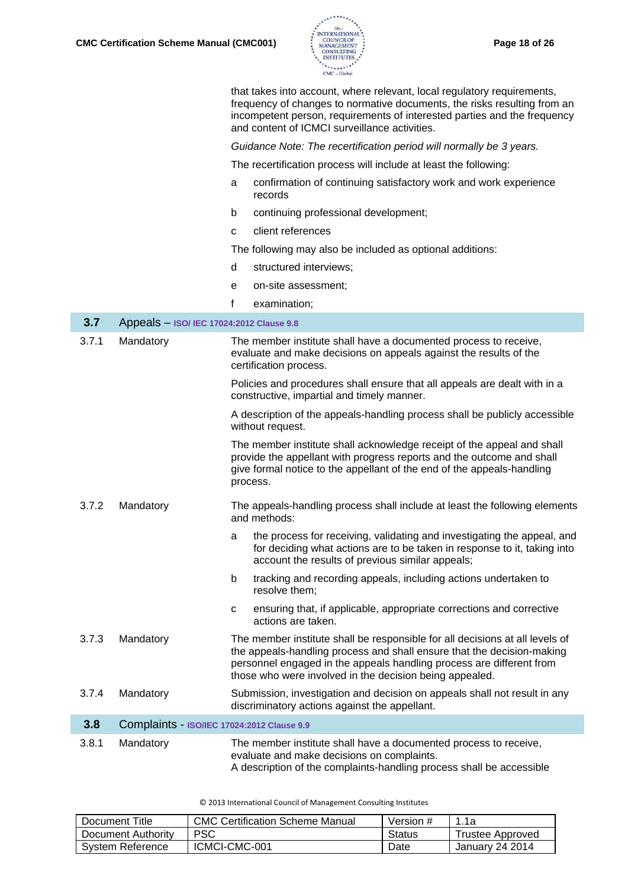

|       |                                            | that takes into account, where relevant, local regulatory requirements,<br>frequency of changes to normative documents, the risks resulting from an<br>incompetent person, requirements of interested parties and the frequency<br>and content of ICMCI surveillance activities.          |
|-------|--------------------------------------------|-------------------------------------------------------------------------------------------------------------------------------------------------------------------------------------------------------------------------------------------------------------------------------------------|
|       |                                            | Guidance Note: The recertification period will normally be 3 years.                                                                                                                                                                                                                       |
|       |                                            | The recertification process will include at least the following:                                                                                                                                                                                                                          |
|       |                                            | confirmation of continuing satisfactory work and work experience<br>a<br>records                                                                                                                                                                                                          |
|       |                                            | continuing professional development;<br>b                                                                                                                                                                                                                                                 |
|       |                                            | client references<br>c                                                                                                                                                                                                                                                                    |
|       |                                            | The following may also be included as optional additions:                                                                                                                                                                                                                                 |
|       |                                            | structured interviews;<br>d                                                                                                                                                                                                                                                               |
|       |                                            | on-site assessment;<br>е                                                                                                                                                                                                                                                                  |
|       |                                            | f<br>examination;                                                                                                                                                                                                                                                                         |
| 3.7   | Appeals - ISO/ IEC 17024:2012 Clause 9.8   |                                                                                                                                                                                                                                                                                           |
| 3.7.1 | Mandatory                                  | The member institute shall have a documented process to receive,<br>evaluate and make decisions on appeals against the results of the<br>certification process.                                                                                                                           |
|       |                                            | Policies and procedures shall ensure that all appeals are dealt with in a<br>constructive, impartial and timely manner.                                                                                                                                                                   |
|       |                                            | A description of the appeals-handling process shall be publicly accessible<br>without request.                                                                                                                                                                                            |
|       |                                            | The member institute shall acknowledge receipt of the appeal and shall<br>provide the appellant with progress reports and the outcome and shall<br>give formal notice to the appellant of the end of the appeals-handling<br>process.                                                     |
| 3.7.2 | Mandatory                                  | The appeals-handling process shall include at least the following elements<br>and methods:                                                                                                                                                                                                |
|       |                                            | the process for receiving, validating and investigating the appeal, and<br>а<br>for deciding what actions are to be taken in response to it, taking into<br>account the results of previous similar appeals;                                                                              |
|       |                                            | b<br>tracking and recording appeals, including actions undertaken to<br>resolve them;                                                                                                                                                                                                     |
|       |                                            | ensuring that, if applicable, appropriate corrections and corrective<br>C<br>actions are taken.                                                                                                                                                                                           |
| 3.7.3 | Mandatory                                  | The member institute shall be responsible for all decisions at all levels of<br>the appeals-handling process and shall ensure that the decision-making<br>personnel engaged in the appeals handling process are different from<br>those who were involved in the decision being appealed. |
| 3.7.4 | Mandatory                                  | Submission, investigation and decision on appeals shall not result in any<br>discriminatory actions against the appellant.                                                                                                                                                                |
| 3.8   | Complaints - ISO/IEC 17024:2012 Clause 9.9 |                                                                                                                                                                                                                                                                                           |
| 3.8.1 | Mandatory                                  | The member institute shall have a documented process to receive,<br>evaluate and make decisions on complaints.<br>A description of the complaints-handling process shall be accessible                                                                                                    |

| Document Title     | <b>CMC Certification Scheme Manual</b> | Version # | 1.1a             |
|--------------------|----------------------------------------|-----------|------------------|
| Document Authority | <b>PSC</b>                             | Status    | Trustee Approved |
| System Reference   | ICMCI-CMC-001                          | Date      | January 24 2014  |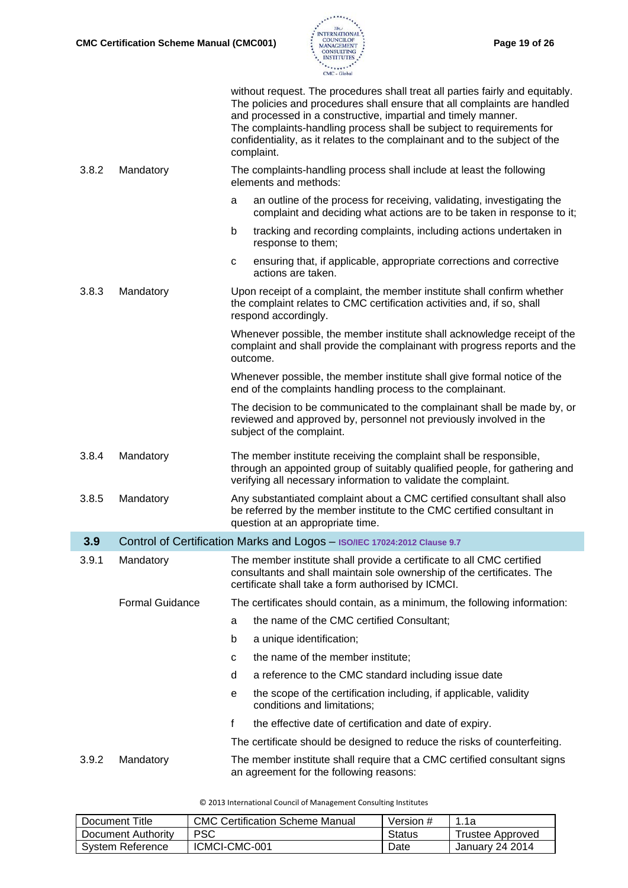

| without request. The procedures shall treat all parties fairly and equitably.<br>The policies and procedures shall ensure that all complaints are handled<br>and processed in a constructive, impartial and timely manner.<br>The complaints-handling process shall be subject to requirements for<br>confidentiality, as it relates to the complainant and to the subject of the<br>complaint. |                        |                                                                                                                                                                                                                    |  |  |  |
|-------------------------------------------------------------------------------------------------------------------------------------------------------------------------------------------------------------------------------------------------------------------------------------------------------------------------------------------------------------------------------------------------|------------------------|--------------------------------------------------------------------------------------------------------------------------------------------------------------------------------------------------------------------|--|--|--|
| 3.8.2                                                                                                                                                                                                                                                                                                                                                                                           | Mandatory              | The complaints-handling process shall include at least the following<br>elements and methods:                                                                                                                      |  |  |  |
|                                                                                                                                                                                                                                                                                                                                                                                                 |                        | an outline of the process for receiving, validating, investigating the<br>a<br>complaint and deciding what actions are to be taken in response to it;                                                              |  |  |  |
|                                                                                                                                                                                                                                                                                                                                                                                                 |                        | $\mathsf b$<br>tracking and recording complaints, including actions undertaken in<br>response to them;                                                                                                             |  |  |  |
|                                                                                                                                                                                                                                                                                                                                                                                                 |                        | ensuring that, if applicable, appropriate corrections and corrective<br>$\mathbf{C}$<br>actions are taken.                                                                                                         |  |  |  |
| 3.8.3                                                                                                                                                                                                                                                                                                                                                                                           | Mandatory              | Upon receipt of a complaint, the member institute shall confirm whether<br>the complaint relates to CMC certification activities and, if so, shall<br>respond accordingly.                                         |  |  |  |
|                                                                                                                                                                                                                                                                                                                                                                                                 |                        | Whenever possible, the member institute shall acknowledge receipt of the<br>complaint and shall provide the complainant with progress reports and the<br>outcome.                                                  |  |  |  |
|                                                                                                                                                                                                                                                                                                                                                                                                 |                        | Whenever possible, the member institute shall give formal notice of the<br>end of the complaints handling process to the complainant.                                                                              |  |  |  |
|                                                                                                                                                                                                                                                                                                                                                                                                 |                        | The decision to be communicated to the complainant shall be made by, or<br>reviewed and approved by, personnel not previously involved in the<br>subject of the complaint.                                         |  |  |  |
| 3.8.4                                                                                                                                                                                                                                                                                                                                                                                           | Mandatory              | The member institute receiving the complaint shall be responsible,<br>through an appointed group of suitably qualified people, for gathering and<br>verifying all necessary information to validate the complaint. |  |  |  |
| 3.8.5                                                                                                                                                                                                                                                                                                                                                                                           | Mandatory              | Any substantiated complaint about a CMC certified consultant shall also<br>be referred by the member institute to the CMC certified consultant in<br>question at an appropriate time.                              |  |  |  |
| 3.9                                                                                                                                                                                                                                                                                                                                                                                             |                        | Control of Certification Marks and Logos - ISO/IEC 17024:2012 Clause 9.7                                                                                                                                           |  |  |  |
| 3.9.1                                                                                                                                                                                                                                                                                                                                                                                           | Mandatory              | The member institute shall provide a certificate to all CMC certified<br>consultants and shall maintain sole ownership of the certificates. The<br>certificate shall take a form authorised by ICMCI.              |  |  |  |
|                                                                                                                                                                                                                                                                                                                                                                                                 | <b>Formal Guidance</b> | The certificates should contain, as a minimum, the following information:                                                                                                                                          |  |  |  |
|                                                                                                                                                                                                                                                                                                                                                                                                 |                        | the name of the CMC certified Consultant;<br>a                                                                                                                                                                     |  |  |  |
|                                                                                                                                                                                                                                                                                                                                                                                                 |                        | b<br>a unique identification;                                                                                                                                                                                      |  |  |  |
|                                                                                                                                                                                                                                                                                                                                                                                                 |                        | the name of the member institute;<br>c                                                                                                                                                                             |  |  |  |
|                                                                                                                                                                                                                                                                                                                                                                                                 |                        | a reference to the CMC standard including issue date<br>d                                                                                                                                                          |  |  |  |
|                                                                                                                                                                                                                                                                                                                                                                                                 |                        | the scope of the certification including, if applicable, validity<br>е<br>conditions and limitations;                                                                                                              |  |  |  |
|                                                                                                                                                                                                                                                                                                                                                                                                 |                        | f<br>the effective date of certification and date of expiry.                                                                                                                                                       |  |  |  |
|                                                                                                                                                                                                                                                                                                                                                                                                 |                        | The certificate should be designed to reduce the risks of counterfeiting.                                                                                                                                          |  |  |  |
| 3.9.2                                                                                                                                                                                                                                                                                                                                                                                           | Mandatory              | The member institute shall require that a CMC certified consultant signs<br>an agreement for the following reasons:                                                                                                |  |  |  |

| Document Title     | CMC Certification Scheme Manual | Version # | 1.1a             |
|--------------------|---------------------------------|-----------|------------------|
| Document Authority | <b>PSC</b>                      | Status    | Trustee Approved |
| System Reference   | ICMCI-CMC-001                   | Date      | January 24 2014  |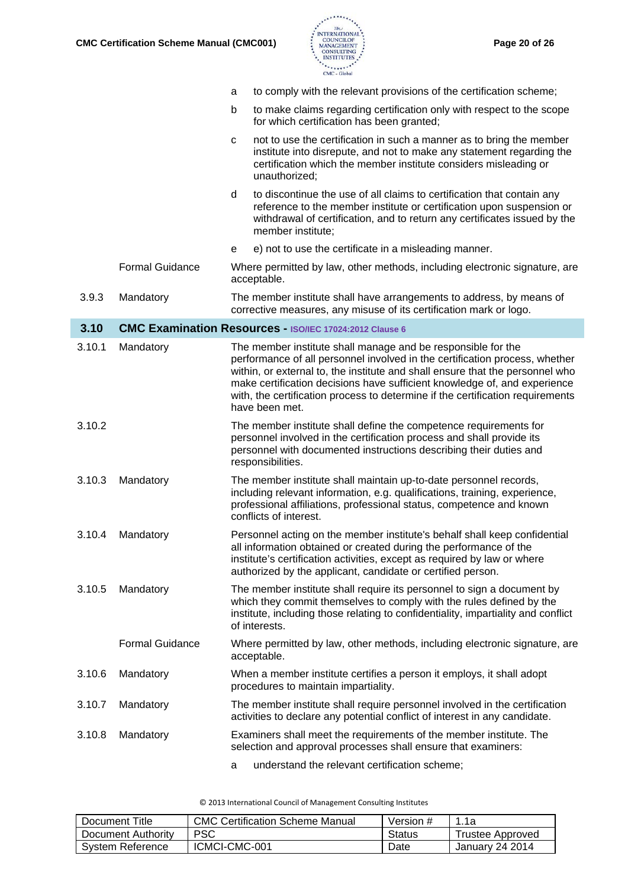

|        |                        | to comply with the relevant provisions of the certification scheme;<br>a                                                                                                                                                                                                                                                                                                                                      |
|--------|------------------------|---------------------------------------------------------------------------------------------------------------------------------------------------------------------------------------------------------------------------------------------------------------------------------------------------------------------------------------------------------------------------------------------------------------|
|        |                        | to make claims regarding certification only with respect to the scope<br>b<br>for which certification has been granted;                                                                                                                                                                                                                                                                                       |
|        |                        | not to use the certification in such a manner as to bring the member<br>$\mathbf{C}$<br>institute into disrepute, and not to make any statement regarding the<br>certification which the member institute considers misleading or<br>unauthorized;                                                                                                                                                            |
|        |                        | d<br>to discontinue the use of all claims to certification that contain any<br>reference to the member institute or certification upon suspension or<br>withdrawal of certification, and to return any certificates issued by the<br>member institute;                                                                                                                                                        |
|        |                        | e) not to use the certificate in a misleading manner.<br>е                                                                                                                                                                                                                                                                                                                                                    |
|        | <b>Formal Guidance</b> | Where permitted by law, other methods, including electronic signature, are<br>acceptable.                                                                                                                                                                                                                                                                                                                     |
| 3.9.3  | Mandatory              | The member institute shall have arrangements to address, by means of<br>corrective measures, any misuse of its certification mark or logo.                                                                                                                                                                                                                                                                    |
| 3.10   |                        | <b>CMC Examination Resources - ISO/IEC 17024:2012 Clause 6</b>                                                                                                                                                                                                                                                                                                                                                |
| 3.10.1 | Mandatory              | The member institute shall manage and be responsible for the<br>performance of all personnel involved in the certification process, whether<br>within, or external to, the institute and shall ensure that the personnel who<br>make certification decisions have sufficient knowledge of, and experience<br>with, the certification process to determine if the certification requirements<br>have been met. |
| 3.10.2 |                        | The member institute shall define the competence requirements for<br>personnel involved in the certification process and shall provide its<br>personnel with documented instructions describing their duties and<br>responsibilities.                                                                                                                                                                         |
| 3.10.3 | Mandatory              | The member institute shall maintain up-to-date personnel records,<br>including relevant information, e.g. qualifications, training, experience,<br>professional affiliations, professional status, competence and known<br>conflicts of interest.                                                                                                                                                             |
| 3.10.4 | Mandatory              | Personnel acting on the member institute's behalf shall keep confidential<br>all information obtained or created during the performance of the<br>institute's certification activities, except as required by law or where<br>authorized by the applicant, candidate or certified person.                                                                                                                     |
| 3.10.5 | Mandatory              | The member institute shall require its personnel to sign a document by<br>which they commit themselves to comply with the rules defined by the<br>institute, including those relating to confidentiality, impartiality and conflict<br>of interests.                                                                                                                                                          |
|        | <b>Formal Guidance</b> | Where permitted by law, other methods, including electronic signature, are<br>acceptable.                                                                                                                                                                                                                                                                                                                     |
| 3.10.6 | Mandatory              | When a member institute certifies a person it employs, it shall adopt<br>procedures to maintain impartiality.                                                                                                                                                                                                                                                                                                 |
| 3.10.7 | Mandatory              | The member institute shall require personnel involved in the certification<br>activities to declare any potential conflict of interest in any candidate.                                                                                                                                                                                                                                                      |
| 3.10.8 | Mandatory              | Examiners shall meet the requirements of the member institute. The<br>selection and approval processes shall ensure that examiners:                                                                                                                                                                                                                                                                           |
|        |                        | understand the relevant certification scheme;<br>a                                                                                                                                                                                                                                                                                                                                                            |

| Document Title     | <b>CMC Certification Scheme Manual</b> | Version # | 1.1a             |
|--------------------|----------------------------------------|-----------|------------------|
| Document Authority | PSC                                    | Status    | Trustee Approved |
| System Reference   | ICMCI-CMC-001                          | Date      | January 24 2014  |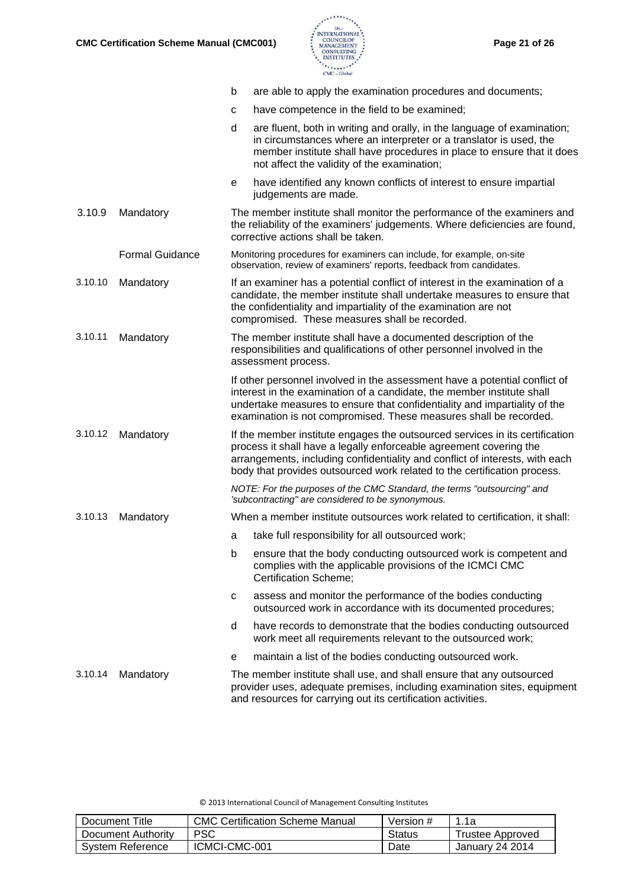

|         |                        | b | are able to apply the examination procedures and documents;                                                                                                                                                                                                                                                    |
|---------|------------------------|---|----------------------------------------------------------------------------------------------------------------------------------------------------------------------------------------------------------------------------------------------------------------------------------------------------------------|
|         |                        | с | have competence in the field to be examined;                                                                                                                                                                                                                                                                   |
|         |                        | d | are fluent, both in writing and orally, in the language of examination;<br>in circumstances where an interpreter or a translator is used, the<br>member institute shall have procedures in place to ensure that it does<br>not affect the validity of the examination;                                         |
|         |                        | е | have identified any known conflicts of interest to ensure impartial<br>judgements are made.                                                                                                                                                                                                                    |
| 3.10.9  | Mandatory              |   | The member institute shall monitor the performance of the examiners and<br>the reliability of the examiners' judgements. Where deficiencies are found,<br>corrective actions shall be taken.                                                                                                                   |
|         | <b>Formal Guidance</b> |   | Monitoring procedures for examiners can include, for example, on-site<br>observation, review of examiners' reports, feedback from candidates.                                                                                                                                                                  |
| 3.10.10 | Mandatory              |   | If an examiner has a potential conflict of interest in the examination of a<br>candidate, the member institute shall undertake measures to ensure that<br>the confidentiality and impartiality of the examination are not<br>compromised. These measures shall be recorded.                                    |
| 3.10.11 | Mandatory              |   | The member institute shall have a documented description of the<br>responsibilities and qualifications of other personnel involved in the<br>assessment process.                                                                                                                                               |
|         |                        |   | If other personnel involved in the assessment have a potential conflict of<br>interest in the examination of a candidate, the member institute shall<br>undertake measures to ensure that confidentiality and impartiality of the<br>examination is not compromised. These measures shall be recorded.         |
| 3.10.12 | Mandatory              |   | If the member institute engages the outsourced services in its certification<br>process it shall have a legally enforceable agreement covering the<br>arrangements, including confidentiality and conflict of interests, with each<br>body that provides outsourced work related to the certification process. |
|         |                        |   | NOTE: For the purposes of the CMC Standard, the terms "outsourcing" and<br>'subcontracting" are considered to be synonymous.                                                                                                                                                                                   |
| 3.10.13 | Mandatory              |   | When a member institute outsources work related to certification, it shall:                                                                                                                                                                                                                                    |
|         |                        | a | take full responsibility for all outsourced work;                                                                                                                                                                                                                                                              |
|         |                        | b | ensure that the body conducting outsourced work is competent and<br>complies with the applicable provisions of the ICMCI CMC<br><b>Certification Scheme;</b>                                                                                                                                                   |
|         |                        | C | assess and monitor the performance of the bodies conducting<br>outsourced work in accordance with its documented procedures;                                                                                                                                                                                   |
|         |                        | d | have records to demonstrate that the bodies conducting outsourced<br>work meet all requirements relevant to the outsourced work;                                                                                                                                                                               |
|         |                        | е | maintain a list of the bodies conducting outsourced work.                                                                                                                                                                                                                                                      |
| 3.10.14 | Mandatory              |   | The member institute shall use, and shall ensure that any outsourced<br>provider uses, adequate premises, including examination sites, equipment<br>and resources for carrying out its certification activities.                                                                                               |

| © 2013 International Council of Management Consulting Institutes |
|------------------------------------------------------------------|
|------------------------------------------------------------------|

| Document Title     | <b>CMC Certification Scheme Manual</b> | Version # | 1.1a             |
|--------------------|----------------------------------------|-----------|------------------|
| Document Authority | <b>PSC</b>                             | Status    | Trustee Approved |
| System Reference   | ICMCI-CMC-001                          | Date      | January 24 2014  |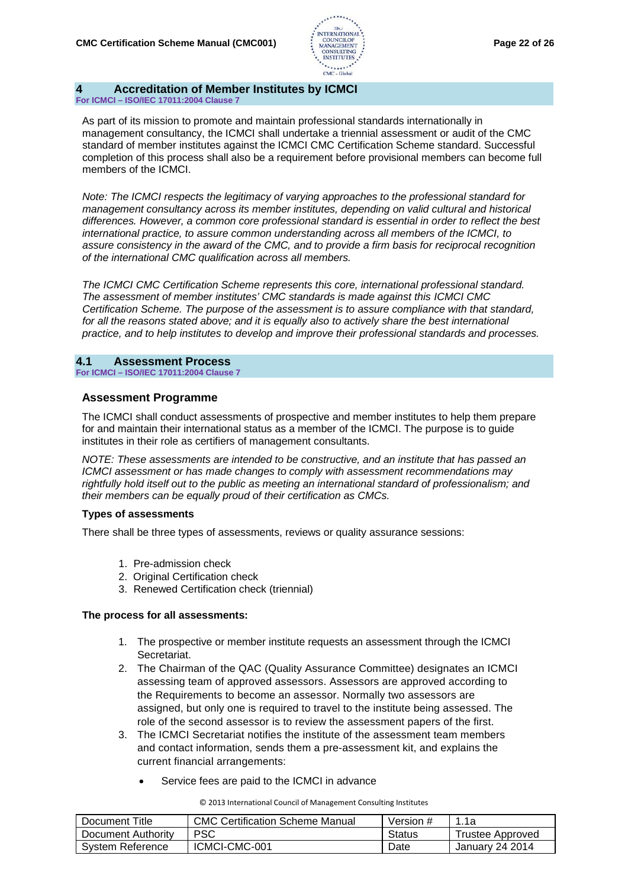

# **4 Accreditation of Member Institutes by ICMCI**

**For ICMCI – ISO/IEC 17011:2004 Clause 7**

As part of its mission to promote and maintain professional standards internationally in management consultancy, the ICMCI shall undertake a triennial assessment or audit of the CMC standard of member institutes against the ICMCI CMC Certification Scheme standard. Successful completion of this process shall also be a requirement before provisional members can become full members of the ICMCI.

*Note: The ICMCI respects the legitimacy of varying approaches to the professional standard for management consultancy across its member institutes, depending on valid cultural and historical differences. However, a common core professional standard is essential in order to reflect the best international practice, to assure common understanding across all members of the ICMCI, to assure consistency in the award of the CMC, and to provide a firm basis for reciprocal recognition of the international CMC qualification across all members.*

*The ICMCI CMC Certification Scheme represents this core, international professional standard. The assessment of member institutes' CMC standards is made against this ICMCI CMC Certification Scheme. The purpose of the assessment is to assure compliance with that standard, for all the reasons stated above; and it is equally also to actively share the best international practice, and to help institutes to develop and improve their professional standards and processes.*

**4.1 Assessment Process For ICMCI – ISO/IEC 17011:2004 Clause 7**

#### **Assessment Programme**

The ICMCI shall conduct assessments of prospective and member institutes to help them prepare for and maintain their international status as a member of the ICMCI. The purpose is to guide institutes in their role as certifiers of management consultants.

*NOTE: These assessments are intended to be constructive, and an institute that has passed an ICMCI assessment or has made changes to comply with assessment recommendations may rightfully hold itself out to the public as meeting an international standard of professionalism; and their members can be equally proud of their certification as CMCs.*

#### **Types of assessments**

There shall be three types of assessments, reviews or quality assurance sessions:

- 1. Pre-admission check
- 2. Original Certification check
- 3. Renewed Certification check (triennial)

#### **The process for all assessments:**

- 1. The prospective or member institute requests an assessment through the ICMCI Secretariat.
- 2. The Chairman of the QAC (Quality Assurance Committee) designates an ICMCI assessing team of approved assessors. Assessors are approved according to the Requirements to become an assessor. Normally two assessors are assigned, but only one is required to travel to the institute being assessed. The role of the second assessor is to review the assessment papers of the first.
- 3. The ICMCI Secretariat notifies the institute of the assessment team members and contact information, sends them a pre-assessment kit, and explains the current financial arrangements:
	- Service fees are paid to the ICMCI in advance

| Document Title     | CMC Certification Scheme Manual | Version # | 1.1a             |
|--------------------|---------------------------------|-----------|------------------|
| Document Authority | PSC                             | Status    | Trustee Approved |
| System Reference   | ICMCI-CMC-001                   | Date      | January 24 2014  |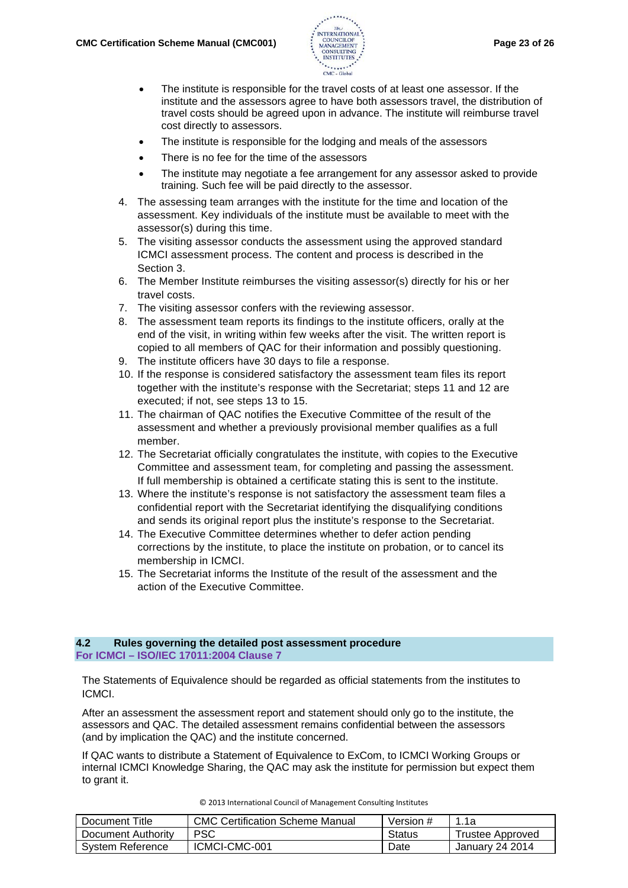

- The institute is responsible for the travel costs of at least one assessor. If the institute and the assessors agree to have both assessors travel, the distribution of travel costs should be agreed upon in advance. The institute will reimburse travel cost directly to assessors.
- The institute is responsible for the lodging and meals of the assessors
- There is no fee for the time of the assessors
- The institute may negotiate a fee arrangement for any assessor asked to provide training. Such fee will be paid directly to the assessor.
- 4. The assessing team arranges with the institute for the time and location of the assessment. Key individuals of the institute must be available to meet with the assessor(s) during this time.
- 5. The visiting assessor conducts the assessment using the approved standard ICMCI assessment process. The content and process is described in the Section 3.
- 6. The Member Institute reimburses the visiting assessor(s) directly for his or her travel costs.
- 7. The visiting assessor confers with the reviewing assessor.
- 8. The assessment team reports its findings to the institute officers, orally at the end of the visit, in writing within few weeks after the visit. The written report is copied to all members of QAC for their information and possibly questioning.
- 9. The institute officers have 30 days to file a response.
- 10. If the response is considered satisfactory the assessment team files its report together with the institute's response with the Secretariat; steps 11 and 12 are executed; if not, see steps 13 to 15.
- 11. The chairman of QAC notifies the Executive Committee of the result of the assessment and whether a previously provisional member qualifies as a full member.
- 12. The Secretariat officially congratulates the institute, with copies to the Executive Committee and assessment team, for completing and passing the assessment. If full membership is obtained a certificate stating this is sent to the institute.
- 13. Where the institute's response is not satisfactory the assessment team files a confidential report with the Secretariat identifying the disqualifying conditions and sends its original report plus the institute's response to the Secretariat.
- 14. The Executive Committee determines whether to defer action pending corrections by the institute, to place the institute on probation, or to cancel its membership in ICMCI.
- 15. The Secretariat informs the Institute of the result of the assessment and the action of the Executive Committee.

#### **4.2 Rules governing the detailed post assessment procedure For ICMCI – ISO/IEC 17011:2004 Clause 7**

The Statements of Equivalence should be regarded as official statements from the institutes to ICMCI.

After an assessment the assessment report and statement should only go to the institute, the assessors and QAC. The detailed assessment remains confidential between the assessors (and by implication the QAC) and the institute concerned.

If QAC wants to distribute a Statement of Equivalence to ExCom, to ICMCI Working Groups or internal ICMCI Knowledge Sharing, the QAC may ask the institute for permission but expect them to grant it.

| Document Title     | <b>CMC Certification Scheme Manual</b> | Version # | 1.1a             |
|--------------------|----------------------------------------|-----------|------------------|
| Document Authority | <b>PSC</b>                             | Status    | Trustee Approved |
| System Reference   | ICMCI-CMC-001                          | Date      | January 24 2014  |

|  |  |  |  |  | © 2013 International Council of Management Consulting Institutes |  |  |
|--|--|--|--|--|------------------------------------------------------------------|--|--|
|--|--|--|--|--|------------------------------------------------------------------|--|--|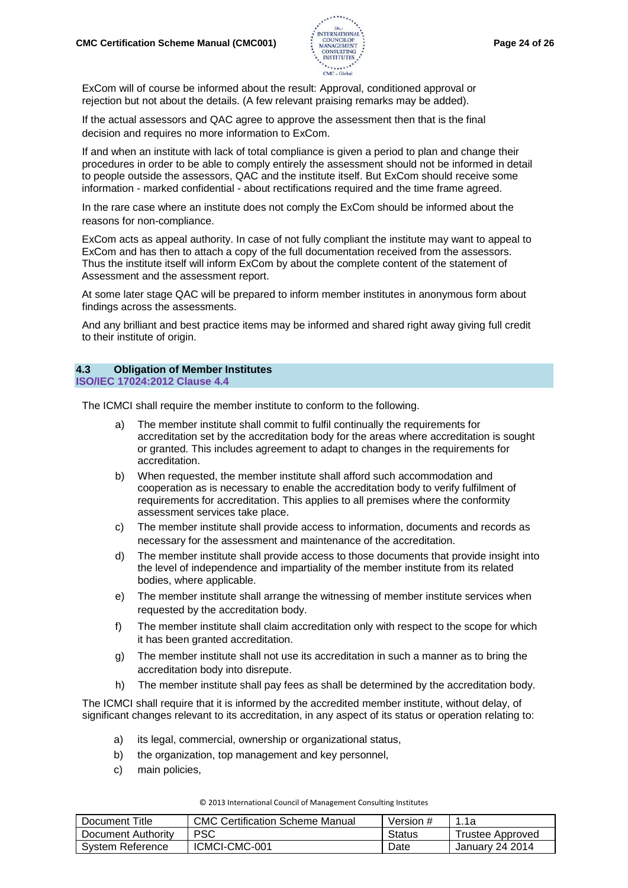

ExCom will of course be informed about the result: Approval, conditioned approval or rejection but not about the details. (A few relevant praising remarks may be added).

If the actual assessors and QAC agree to approve the assessment then that is the final decision and requires no more information to ExCom.

If and when an institute with lack of total compliance is given a period to plan and change their procedures in order to be able to comply entirely the assessment should not be informed in detail to people outside the assessors, QAC and the institute itself. But ExCom should receive some information - marked confidential - about rectifications required and the time frame agreed.

In the rare case where an institute does not comply the ExCom should be informed about the reasons for non-compliance.

ExCom acts as appeal authority. In case of not fully compliant the institute may want to appeal to ExCom and has then to attach a copy of the full documentation received from the assessors. Thus the institute itself will inform ExCom by about the complete content of the statement of Assessment and the assessment report.

At some later stage QAC will be prepared to inform member institutes in anonymous form about findings across the assessments.

And any brilliant and best practice items may be informed and shared right away giving full credit to their institute of origin.

# **4.3 Obligation of Member Institutes**

**ISO/IEC 17024:2012 Clause 4.4**

The ICMCI shall require the member institute to conform to the following.

- a) The member institute shall commit to fulfil continually the requirements for accreditation set by the accreditation body for the areas where accreditation is sought or granted. This includes agreement to adapt to changes in the requirements for accreditation.
- b) When requested, the member institute shall afford such accommodation and cooperation as is necessary to enable the accreditation body to verify fulfilment of requirements for accreditation. This applies to all premises where the conformity assessment services take place.
- c) The member institute shall provide access to information, documents and records as necessary for the assessment and maintenance of the accreditation.
- d) The member institute shall provide access to those documents that provide insight into the level of independence and impartiality of the member institute from its related bodies, where applicable.
- e) The member institute shall arrange the witnessing of member institute services when requested by the accreditation body.
- f) The member institute shall claim accreditation only with respect to the scope for which it has been granted accreditation.
- g) The member institute shall not use its accreditation in such a manner as to bring the accreditation body into disrepute.
- h) The member institute shall pay fees as shall be determined by the accreditation body.

The ICMCI shall require that it is informed by the accredited member institute, without delay, of significant changes relevant to its accreditation, in any aspect of its status or operation relating to:

- a) its legal, commercial, ownership or organizational status,
- b) the organization, top management and key personnel,
- c) main policies,

| Document Title     | <b>CMC Certification Scheme Manual</b> | Version # | 1.1a             |
|--------------------|----------------------------------------|-----------|------------------|
| Document Authority | PSC                                    | Status    | Trustee Approved |
| System Reference   | ICMCI-CMC-001                          | Date      | January 24 2014  |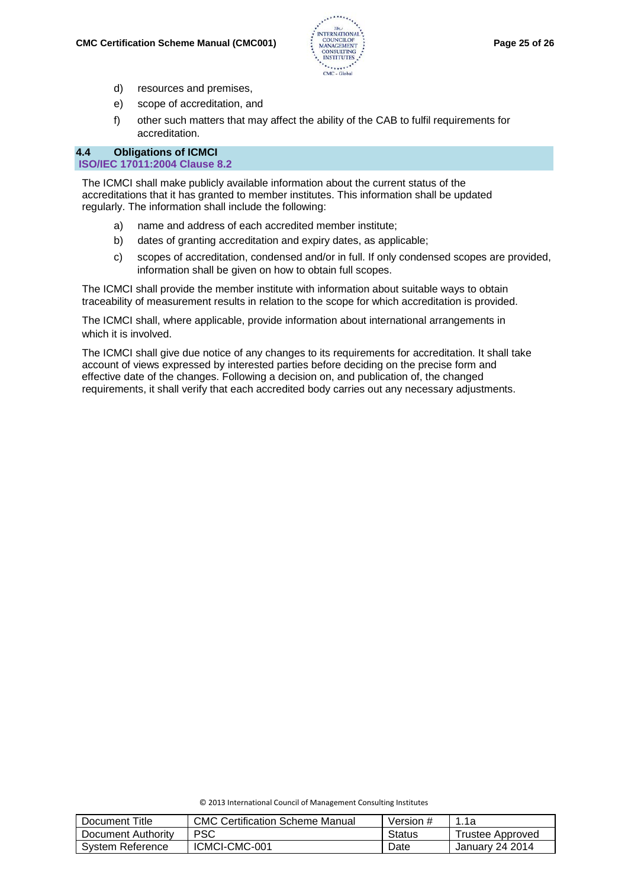

- d) resources and premises,
- e) scope of accreditation, and
- f) other such matters that may affect the ability of the CAB to fulfil requirements for accreditation.

#### **4.4 Obligations of ICMCI**

#### **ISO/IEC 17011:2004 Clause 8.2**

The ICMCI shall make publicly available information about the current status of the accreditations that it has granted to member institutes. This information shall be updated regularly. The information shall include the following:

- a) name and address of each accredited member institute;
- b) dates of granting accreditation and expiry dates, as applicable;
- c) scopes of accreditation, condensed and/or in full. If only condensed scopes are provided, information shall be given on how to obtain full scopes.

The ICMCI shall provide the member institute with information about suitable ways to obtain traceability of measurement results in relation to the scope for which accreditation is provided.

The ICMCI shall, where applicable, provide information about international arrangements in which it is involved.

The ICMCI shall give due notice of any changes to its requirements for accreditation. It shall take account of views expressed by interested parties before deciding on the precise form and effective date of the changes. Following a decision on, and publication of, the changed requirements, it shall verify that each accredited body carries out any necessary adjustments.

© 2013 International Council of Management Consulting Institutes

| Document Title     | <b>CMC Certification Scheme Manual</b> | Version # | 1.1a                   |
|--------------------|----------------------------------------|-----------|------------------------|
| Document Authority | <b>PSC</b>                             | Status    | Trustee Approved       |
| System Reference   | ICMCI-CMC-001                          | Date      | <b>January 24 2014</b> |